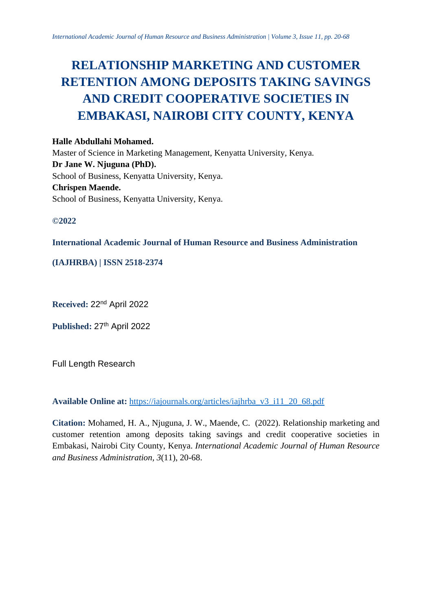# **RELATIONSHIP MARKETING AND CUSTOMER RETENTION AMONG DEPOSITS TAKING SAVINGS AND CREDIT COOPERATIVE SOCIETIES IN EMBAKASI, NAIROBI CITY COUNTY, KENYA**

## **Halle Abdullahi Mohamed.**

Master of Science in Marketing Management, Kenyatta University, Kenya. **Dr Jane W. Njuguna (PhD).** School of Business, Kenyatta University, Kenya. **Chrispen Maende.** School of Business, Kenyatta University, Kenya.

# **©2022**

## **International Academic Journal of Human Resource and Business Administration**

# **(IAJHRBA) | ISSN 2518-2374**

**Received:** 22nd April 2022

Published: 27<sup>th</sup> April 2022

Full Length Research

# **Available Online at:** [https://iajournals.org/articles/iajhrba\\_v3\\_i11\\_20\\_68.pdf](https://iajournals.org/articles/iajhrba_v3_i11_20_68.pdf)

**Citation:** Mohamed, H. A., Njuguna, J. W., Maende, C. (2022). Relationship marketing and customer retention among deposits taking savings and credit cooperative societies in Embakasi, Nairobi City County, Kenya. *International Academic Journal of Human Resource and Business Administration, 3*(11), 20-68.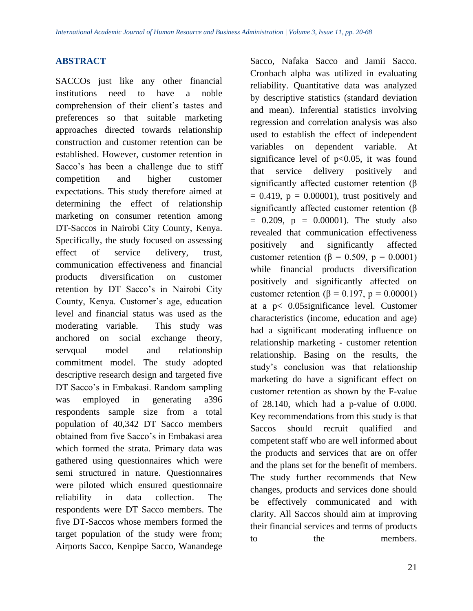# **ABSTRACT**

SACCOs just like any other financial institutions need to have a noble comprehension of their client's tastes and preferences so that suitable marketing approaches directed towards relationship construction and customer retention can be established. However, customer retention in Sacco's has been a challenge due to stiff competition and higher customer expectations. This study therefore aimed at determining the effect of relationship marketing on consumer retention among DT-Saccos in Nairobi City County, Kenya. Specifically, the study focused on assessing effect of service delivery, trust, communication effectiveness and financial products diversification on customer retention by DT Sacco's in Nairobi City County, Kenya. Customer's age, education level and financial status was used as the moderating variable. This study was anchored on social exchange theory, servqual model and relationship commitment model. The study adopted descriptive research design and targeted five DT Sacco's in Embakasi. Random sampling was employed in generating a396 respondents sample size from a total population of 40,342 DT Sacco members obtained from five Sacco's in Embakasi area which formed the strata. Primary data was gathered using questionnaires which were semi structured in nature. Questionnaires were piloted which ensured questionnaire reliability in data collection. The respondents were DT Sacco members. The five DT-Saccos whose members formed the target population of the study were from; Airports Sacco, Kenpipe Sacco, Wanandege

Sacco, Nafaka Sacco and Jamii Sacco. Cronbach alpha was utilized in evaluating reliability. Quantitative data was analyzed by descriptive statistics (standard deviation and mean). Inferential statistics involving regression and correlation analysis was also used to establish the effect of independent variables on dependent variable. At significance level of  $p<0.05$ , it was found that service delivery positively and significantly affected customer retention (β  $= 0.419$ ,  $p = 0.00001$ ), trust positively and significantly affected customer retention (β  $= 0.209$ ,  $p = 0.00001$ ). The study also revealed that communication effectiveness positively and significantly affected customer retention ( $\beta = 0.509$ ,  $p = 0.0001$ ) while financial products diversification positively and significantly affected on customer retention ( $\beta = 0.197$ ,  $p = 0.00001$ ) at a p< 0.05significance level. Customer characteristics (income, education and age) had a significant moderating influence on relationship marketing - customer retention relationship. Basing on the results, the study's conclusion was that relationship marketing do have a significant effect on customer retention as shown by the F-value of 28.140, which had a p-value of 0.000. Key recommendations from this study is that Saccos should recruit qualified and competent staff who are well informed about the products and services that are on offer and the plans set for the benefit of members. The study further recommends that New changes, products and services done should be effectively communicated and with clarity. All Saccos should aim at improving their financial services and terms of products to the members.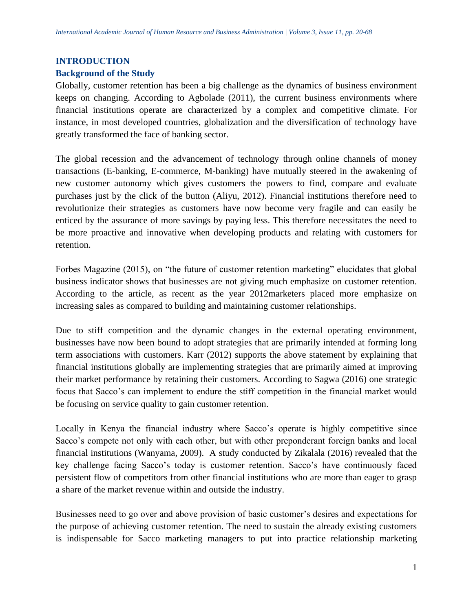## **INTRODUCTION**

## **Background of the Study**

Globally, customer retention has been a big challenge as the dynamics of business environment keeps on changing. According to Agbolade (2011), the current business environments where financial institutions operate are characterized by a complex and competitive climate. For instance, in most developed countries, globalization and the diversification of technology have greatly transformed the face of banking sector.

The global recession and the advancement of technology through online channels of money transactions (E-banking, E-commerce, M-banking) have mutually steered in the awakening of new customer autonomy which gives customers the powers to find, compare and evaluate purchases just by the click of the button (Aliyu, 2012). Financial institutions therefore need to revolutionize their strategies as customers have now become very fragile and can easily be enticed by the assurance of more savings by paying less. This therefore necessitates the need to be more proactive and innovative when developing products and relating with customers for retention.

Forbes Magazine (2015), on "the future of customer retention marketing" elucidates that global business indicator shows that businesses are not giving much emphasize on customer retention. According to the article, as recent as the year 2012marketers placed more emphasize on increasing sales as compared to building and maintaining customer relationships.

Due to stiff competition and the dynamic changes in the external operating environment, businesses have now been bound to adopt strategies that are primarily intended at forming long term associations with customers. Karr (2012) supports the above statement by explaining that financial institutions globally are implementing strategies that are primarily aimed at improving their market performance by retaining their customers. According to Sagwa (2016) one strategic focus that Sacco's can implement to endure the stiff competition in the financial market would be focusing on service quality to gain customer retention.

Locally in Kenya the financial industry where Sacco's operate is highly competitive since Sacco's compete not only with each other, but with other preponderant foreign banks and local financial institutions (Wanyama, 2009). A study conducted by Zikalala (2016) revealed that the key challenge facing Sacco's today is customer retention. Sacco's have continuously faced persistent flow of competitors from other financial institutions who are more than eager to grasp a share of the market revenue within and outside the industry.

Businesses need to go over and above provision of basic customer's desires and expectations for the purpose of achieving customer retention. The need to sustain the already existing customers is indispensable for Sacco marketing managers to put into practice relationship marketing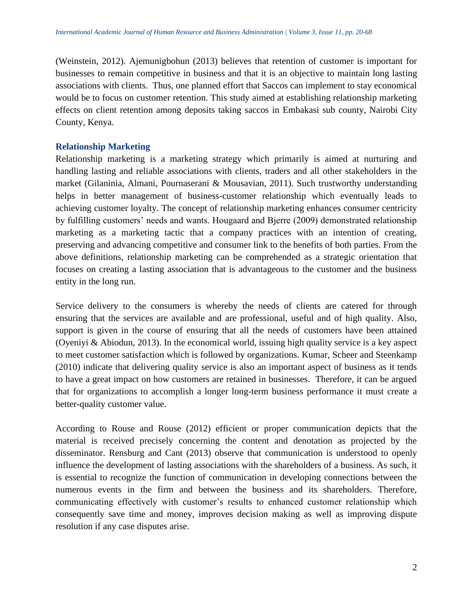(Weinstein, 2012). Ajemunigbohun (2013) believes that retention of customer is important for businesses to remain competitive in business and that it is an objective to maintain long lasting associations with clients. Thus, one planned effort that Saccos can implement to stay economical would be to focus on customer retention. This study aimed at establishing relationship marketing effects on client retention among deposits taking saccos in Embakasi sub county, Nairobi City County, Kenya.

## **Relationship Marketing**

Relationship marketing is a marketing strategy which primarily is aimed at nurturing and handling lasting and reliable associations with clients, traders and all other stakeholders in the market (Gilaninia, Almani, Pournaserani & Mousavian, 2011). Such trustworthy understanding helps in better management of business-customer relationship which eventually leads to achieving customer loyalty. The concept of relationship marketing enhances consumer centricity by fulfilling customers' needs and wants. Hougaard and Bjerre (2009) demonstrated relationship marketing as a marketing tactic that a company practices with an intention of creating, preserving and advancing competitive and consumer link to the benefits of both parties. From the above definitions, relationship marketing can be comprehended as a strategic orientation that focuses on creating a lasting association that is advantageous to the customer and the business entity in the long run.

Service delivery to the consumers is whereby the needs of clients are catered for through ensuring that the services are available and are professional, useful and of high quality. Also, support is given in the course of ensuring that all the needs of customers have been attained (Oyeniyi & Abiodun, 2013). In the economical world, issuing high quality service is a key aspect to meet customer satisfaction which is followed by organizations. Kumar, Scheer and Steenkamp (2010) indicate that delivering quality service is also an important aspect of business as it tends to have a great impact on how customers are retained in businesses. Therefore, it can be argued that for organizations to accomplish a longer long-term business performance it must create a better-quality customer value.

According to Rouse and Rouse (2012) efficient or proper communication depicts that the material is received precisely concerning the content and denotation as projected by the disseminator. Rensburg and Cant (2013) observe that communication is understood to openly influence the development of lasting associations with the shareholders of a business. As such, it is essential to recognize the function of communication in developing connections between the numerous events in the firm and between the business and its shareholders. Therefore, communicating effectively with customer's results to enhanced customer relationship which consequently save time and money, improves decision making as well as improving dispute resolution if any case disputes arise.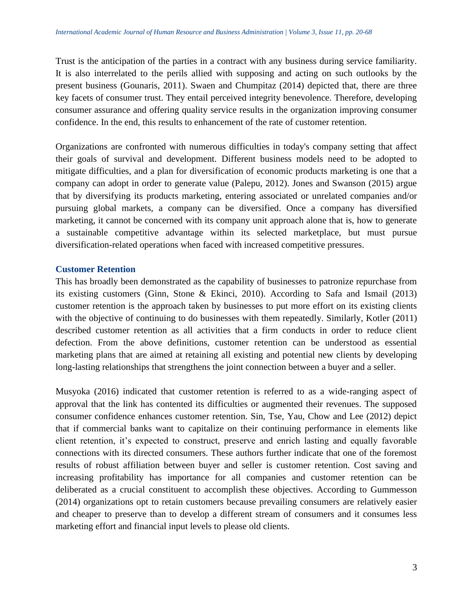Trust is the anticipation of the parties in a contract with any business during service familiarity. It is also interrelated to the perils allied with supposing and acting on such outlooks by the present business (Gounaris, 2011). Swaen and Chumpitaz (2014) depicted that, there are three key facets of consumer trust. They entail perceived integrity benevolence. Therefore, developing consumer assurance and offering quality service results in the organization improving consumer confidence. In the end, this results to enhancement of the rate of customer retention.

Organizations are confronted with numerous difficulties in today's company setting that affect their goals of survival and development. Different business models need to be adopted to mitigate difficulties, and a plan for diversification of economic products marketing is one that a company can adopt in order to generate value (Palepu, 2012). Jones and Swanson (2015) argue that by diversifying its products marketing, entering associated or unrelated companies and/or pursuing global markets, a company can be diversified. Once a company has diversified marketing, it cannot be concerned with its company unit approach alone that is, how to generate a sustainable competitive advantage within its selected marketplace, but must pursue diversification-related operations when faced with increased competitive pressures.

## **Customer Retention**

This has broadly been demonstrated as the capability of businesses to patronize repurchase from its existing customers (Ginn, Stone & Ekinci, 2010). According to Safa and Ismail (2013) customer retention is the approach taken by businesses to put more effort on its existing clients with the objective of continuing to do businesses with them repeatedly. Similarly, Kotler (2011) described customer retention as all activities that a firm conducts in order to reduce client defection. From the above definitions, customer retention can be understood as essential marketing plans that are aimed at retaining all existing and potential new clients by developing long-lasting relationships that strengthens the joint connection between a buyer and a seller.

Musyoka (2016) indicated that customer retention is referred to as a wide-ranging aspect of approval that the link has contented its difficulties or augmented their revenues. The supposed consumer confidence enhances customer retention. Sin, Tse, Yau, Chow and Lee (2012) depict that if commercial banks want to capitalize on their continuing performance in elements like client retention, it's expected to construct, preserve and enrich lasting and equally favorable connections with its directed consumers. These authors further indicate that one of the foremost results of robust affiliation between buyer and seller is customer retention. Cost saving and increasing profitability has importance for all companies and customer retention can be deliberated as a crucial constituent to accomplish these objectives. According to Gummesson (2014) organizations opt to retain customers because prevailing consumers are relatively easier and cheaper to preserve than to develop a different stream of consumers and it consumes less marketing effort and financial input levels to please old clients.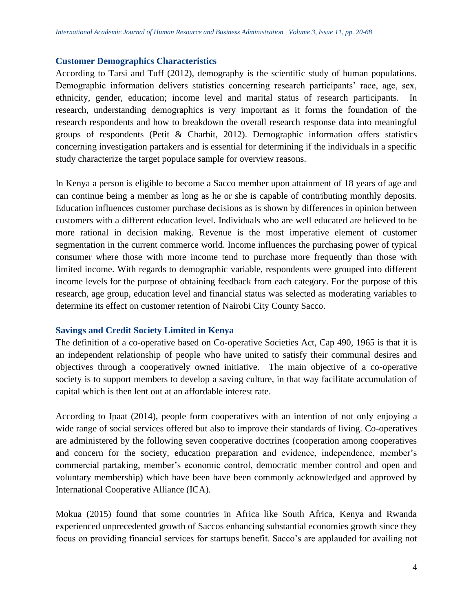#### **Customer Demographics Characteristics**

According to Tarsi and Tuff (2012), demography is the scientific study of human populations. Demographic information delivers statistics concerning research participants' race, age, sex, ethnicity, gender, education; income level and marital status of research participants. In research, understanding demographics is very important as it forms the foundation of the research respondents and how to breakdown the overall research response data into meaningful groups of respondents (Petit & Charbit, 2012). Demographic information offers statistics concerning investigation partakers and is essential for determining if the individuals in a specific study characterize the target populace sample for overview reasons.

In Kenya a person is eligible to become a Sacco member upon attainment of 18 years of age and can continue being a member as long as he or she is capable of contributing monthly deposits. Education influences customer purchase decisions as is shown by differences in opinion between customers with a different education level. Individuals who are well educated are believed to be more rational in decision making. Revenue is the most imperative element of customer segmentation in the current commerce world. Income influences the purchasing power of typical consumer where those with more income tend to purchase more frequently than those with limited income. With regards to demographic variable, respondents were grouped into different income levels for the purpose of obtaining feedback from each category. For the purpose of this research, age group, education level and financial status was selected as moderating variables to determine its effect on customer retention of Nairobi City County Sacco.

## **Savings and Credit Society Limited in Kenya**

The definition of a co-operative based on Co-operative Societies Act, Cap 490, 1965 is that it is an independent relationship of people who have united to satisfy their communal desires and objectives through a cooperatively owned initiative. The main objective of a co-operative society is to support members to develop a saving culture, in that way facilitate accumulation of capital which is then lent out at an affordable interest rate.

According to Ipaat (2014), people form cooperatives with an intention of not only enjoying a wide range of social services offered but also to improve their standards of living. Co-operatives are administered by the following seven cooperative doctrines (cooperation among cooperatives and concern for the society, education preparation and evidence, independence, member's commercial partaking, member's economic control, democratic member control and open and voluntary membership) which have been have been commonly acknowledged and approved by International Cooperative Alliance (ICA).

Mokua (2015) found that some countries in Africa like South Africa, Kenya and Rwanda experienced unprecedented growth of Saccos enhancing substantial economies growth since they focus on providing financial services for startups benefit. Sacco's are applauded for availing not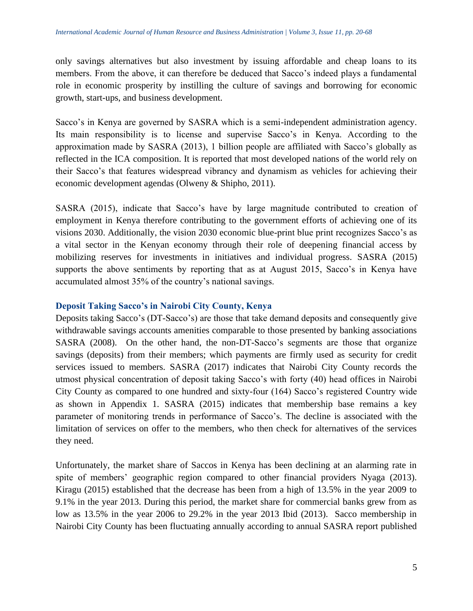only savings alternatives but also investment by issuing affordable and cheap loans to its members. From the above, it can therefore be deduced that Sacco's indeed plays a fundamental role in economic prosperity by instilling the culture of savings and borrowing for economic growth, start-ups, and business development.

Sacco's in Kenya are governed by SASRA which is a semi-independent administration agency. Its main responsibility is to license and supervise Sacco's in Kenya. According to the approximation made by SASRA (2013), 1 billion people are affiliated with Sacco's globally as reflected in the ICA composition. It is reported that most developed nations of the world rely on their Sacco's that features widespread vibrancy and dynamism as vehicles for achieving their economic development agendas (Olweny & Shipho, 2011).

SASRA (2015), indicate that Sacco's have by large magnitude contributed to creation of employment in Kenya therefore contributing to the government efforts of achieving one of its visions 2030. Additionally, the vision 2030 economic blue-print blue print recognizes Sacco's as a vital sector in the Kenyan economy through their role of deepening financial access by mobilizing reserves for investments in initiatives and individual progress. SASRA (2015) supports the above sentiments by reporting that as at August 2015, Sacco's in Kenya have accumulated almost 35% of the country's national savings.

#### **Deposit Taking Sacco's in Nairobi City County, Kenya**

Deposits taking Sacco's (DT-Sacco's) are those that take demand deposits and consequently give withdrawable savings accounts amenities comparable to those presented by banking associations SASRA (2008). On the other hand, the non-DT-Sacco's segments are those that organize savings (deposits) from their members; which payments are firmly used as security for credit services issued to members. SASRA (2017) indicates that Nairobi City County records the utmost physical concentration of deposit taking Sacco's with forty (40) head offices in Nairobi City County as compared to one hundred and sixty-four (164) Sacco's registered Country wide as shown in Appendix 1. SASRA (2015) indicates that membership base remains a key parameter of monitoring trends in performance of Sacco's. The decline is associated with the limitation of services on offer to the members, who then check for alternatives of the services they need.

Unfortunately, the market share of Saccos in Kenya has been declining at an alarming rate in spite of members' geographic region compared to other financial providers Nyaga (2013). Kiragu (2015) established that the decrease has been from a high of 13.5% in the year 2009 to 9.1% in the year 2013. During this period, the market share for commercial banks grew from as low as 13.5% in the year 2006 to 29.2% in the year 2013 Ibid (2013). Sacco membership in Nairobi City County has been fluctuating annually according to annual SASRA report published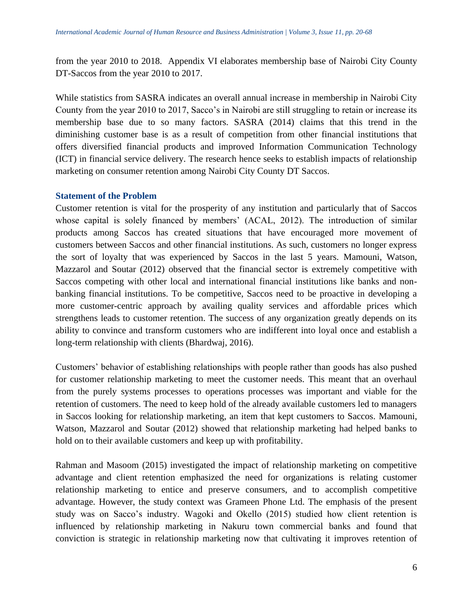from the year 2010 to 2018. Appendix VI elaborates membership base of Nairobi City County DT-Saccos from the year 2010 to 2017.

While statistics from SASRA indicates an overall annual increase in membership in Nairobi City County from the year 2010 to 2017, Sacco's in Nairobi are still struggling to retain or increase its membership base due to so many factors. SASRA (2014) claims that this trend in the diminishing customer base is as a result of competition from other financial institutions that offers diversified financial products and improved Information Communication Technology (ICT) in financial service delivery. The research hence seeks to establish impacts of relationship marketing on consumer retention among Nairobi City County DT Saccos.

## **Statement of the Problem**

Customer retention is vital for the prosperity of any institution and particularly that of Saccos whose capital is solely financed by members' (ACAL, 2012). The introduction of similar products among Saccos has created situations that have encouraged more movement of customers between Saccos and other financial institutions. As such, customers no longer express the sort of loyalty that was experienced by Saccos in the last 5 years. Mamouni, Watson, Mazzarol and Soutar (2012) observed that the financial sector is extremely competitive with Saccos competing with other local and international financial institutions like banks and nonbanking financial institutions. To be competitive, Saccos need to be proactive in developing a more customer-centric approach by availing quality services and affordable prices which strengthens leads to customer retention. The success of any organization greatly depends on its ability to convince and transform customers who are indifferent into loyal once and establish a long-term relationship with clients (Bhardwaj, 2016).

Customers' behavior of establishing relationships with people rather than goods has also pushed for customer relationship marketing to meet the customer needs. This meant that an overhaul from the purely systems processes to operations processes was important and viable for the retention of customers. The need to keep hold of the already available customers led to managers in Saccos looking for relationship marketing, an item that kept customers to Saccos. Mamouni, Watson, Mazzarol and Soutar (2012) showed that relationship marketing had helped banks to hold on to their available customers and keep up with profitability.

Rahman and Masoom (2015) investigated the impact of relationship marketing on competitive advantage and client retention emphasized the need for organizations is relating customer relationship marketing to entice and preserve consumers, and to accomplish competitive advantage. However, the study context was Grameen Phone Ltd. The emphasis of the present study was on Sacco's industry. Wagoki and Okello (2015) studied how client retention is influenced by relationship marketing in Nakuru town commercial banks and found that conviction is strategic in relationship marketing now that cultivating it improves retention of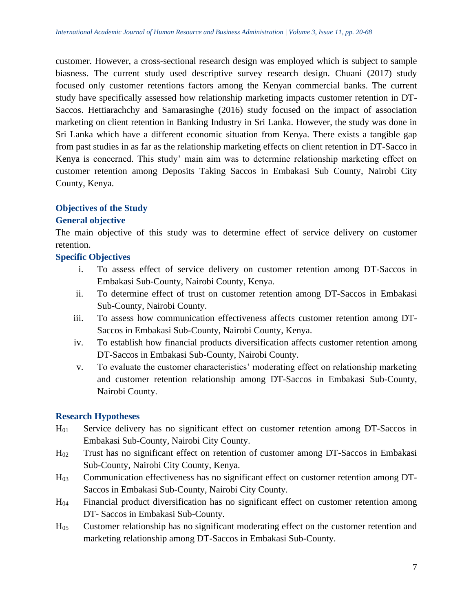customer. However, a cross-sectional research design was employed which is subject to sample biasness. The current study used descriptive survey research design. Chuani (2017) study focused only customer retentions factors among the Kenyan commercial banks. The current study have specifically assessed how relationship marketing impacts customer retention in DT-Saccos. Hettiarachchy and Samarasinghe (2016) study focused on the impact of association marketing on client retention in Banking Industry in Sri Lanka. However, the study was done in Sri Lanka which have a different economic situation from Kenya. There exists a tangible gap from past studies in as far as the relationship marketing effects on client retention in DT-Sacco in Kenya is concerned. This study' main aim was to determine relationship marketing effect on customer retention among Deposits Taking Saccos in Embakasi Sub County, Nairobi City County, Kenya.

## **Objectives of the Study**

## **General objective**

The main objective of this study was to determine effect of service delivery on customer retention.

## **Specific Objectives**

- i. To assess effect of service delivery on customer retention among DT-Saccos in Embakasi Sub-County, Nairobi County, Kenya.
- ii. To determine effect of trust on customer retention among DT-Saccos in Embakasi Sub-County, Nairobi County.
- iii. To assess how communication effectiveness affects customer retention among DT-Saccos in Embakasi Sub-County, Nairobi County, Kenya.
- iv. To establish how financial products diversification affects customer retention among DT-Saccos in Embakasi Sub-County, Nairobi County.
- v. To evaluate the customer characteristics' moderating effect on relationship marketing and customer retention relationship among DT-Saccos in Embakasi Sub-County, Nairobi County.

## **Research Hypotheses**

- H<sup>01</sup> Service delivery has no significant effect on customer retention among DT-Saccos in Embakasi Sub-County, Nairobi City County.
- H<sup>02</sup> Trust has no significant effect on retention of customer among DT-Saccos in Embakasi Sub-County, Nairobi City County, Kenya.
- H<sup>03</sup> Communication effectiveness has no significant effect on customer retention among DT-Saccos in Embakasi Sub-County, Nairobi City County.
- H<sup>04</sup> Financial product diversification has no significant effect on customer retention among DT- Saccos in Embakasi Sub-County.
- H<sup>05</sup> Customer relationship has no significant moderating effect on the customer retention and marketing relationship among DT-Saccos in Embakasi Sub-County.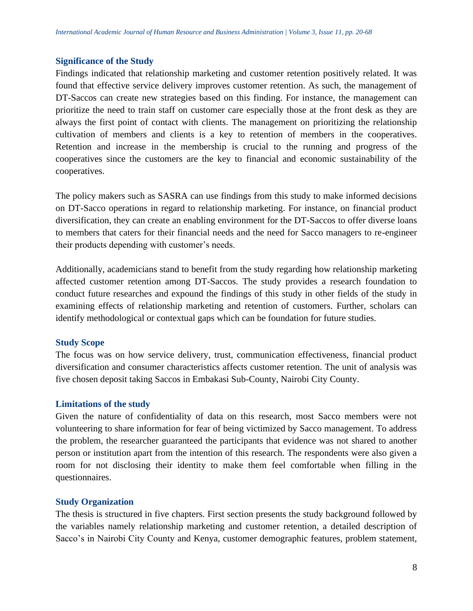## **Significance of the Study**

Findings indicated that relationship marketing and customer retention positively related. It was found that effective service delivery improves customer retention. As such, the management of DT-Saccos can create new strategies based on this finding. For instance, the management can prioritize the need to train staff on customer care especially those at the front desk as they are always the first point of contact with clients. The management on prioritizing the relationship cultivation of members and clients is a key to retention of members in the cooperatives. Retention and increase in the membership is crucial to the running and progress of the cooperatives since the customers are the key to financial and economic sustainability of the cooperatives.

The policy makers such as SASRA can use findings from this study to make informed decisions on DT-Sacco operations in regard to relationship marketing. For instance, on financial product diversification, they can create an enabling environment for the DT-Saccos to offer diverse loans to members that caters for their financial needs and the need for Sacco managers to re-engineer their products depending with customer's needs.

Additionally, academicians stand to benefit from the study regarding how relationship marketing affected customer retention among DT-Saccos. The study provides a research foundation to conduct future researches and expound the findings of this study in other fields of the study in examining effects of relationship marketing and retention of customers. Further, scholars can identify methodological or contextual gaps which can be foundation for future studies.

## **Study Scope**

The focus was on how service delivery, trust, communication effectiveness, financial product diversification and consumer characteristics affects customer retention. The unit of analysis was five chosen deposit taking Saccos in Embakasi Sub-County, Nairobi City County.

## **Limitations of the study**

Given the nature of confidentiality of data on this research, most Sacco members were not volunteering to share information for fear of being victimized by Sacco management. To address the problem, the researcher guaranteed the participants that evidence was not shared to another person or institution apart from the intention of this research. The respondents were also given a room for not disclosing their identity to make them feel comfortable when filling in the questionnaires.

#### **Study Organization**

The thesis is structured in five chapters. First section presents the study background followed by the variables namely relationship marketing and customer retention, a detailed description of Sacco's in Nairobi City County and Kenya, customer demographic features, problem statement,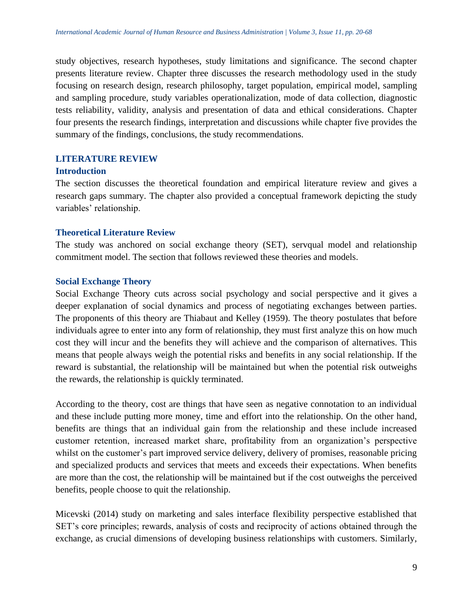study objectives, research hypotheses, study limitations and significance. The second chapter presents literature review. Chapter three discusses the research methodology used in the study focusing on research design, research philosophy, target population, empirical model, sampling and sampling procedure, study variables operationalization, mode of data collection, diagnostic tests reliability, validity, analysis and presentation of data and ethical considerations. Chapter four presents the research findings, interpretation and discussions while chapter five provides the summary of the findings, conclusions, the study recommendations.

## **LITERATURE REVIEW**

#### **Introduction**

The section discusses the theoretical foundation and empirical literature review and gives a research gaps summary. The chapter also provided a conceptual framework depicting the study variables' relationship.

#### **Theoretical Literature Review**

The study was anchored on social exchange theory (SET), servqual model and relationship commitment model. The section that follows reviewed these theories and models.

#### **Social Exchange Theory**

Social Exchange Theory cuts across social psychology and social perspective and it gives a deeper explanation of social dynamics and process of negotiating exchanges between parties. The proponents of this theory are Thiabaut and Kelley (1959). The theory postulates that before individuals agree to enter into any form of relationship, they must first analyze this on how much cost they will incur and the benefits they will achieve and the comparison of alternatives. This means that people always weigh the potential risks and benefits in any social relationship. If the reward is substantial, the relationship will be maintained but when the potential risk outweighs the rewards, the relationship is quickly terminated.

According to the theory, cost are things that have seen as negative connotation to an individual and these include putting more money, time and effort into the relationship. On the other hand, benefits are things that an individual gain from the relationship and these include increased customer retention, increased market share, profitability from an organization's perspective whilst on the customer's part improved service delivery, delivery of promises, reasonable pricing and specialized products and services that meets and exceeds their expectations. When benefits are more than the cost, the relationship will be maintained but if the cost outweighs the perceived benefits, people choose to quit the relationship.

Micevski (2014) study on marketing and sales interface flexibility perspective established that SET's core principles; rewards, analysis of costs and reciprocity of actions obtained through the exchange, as crucial dimensions of developing business relationships with customers. Similarly,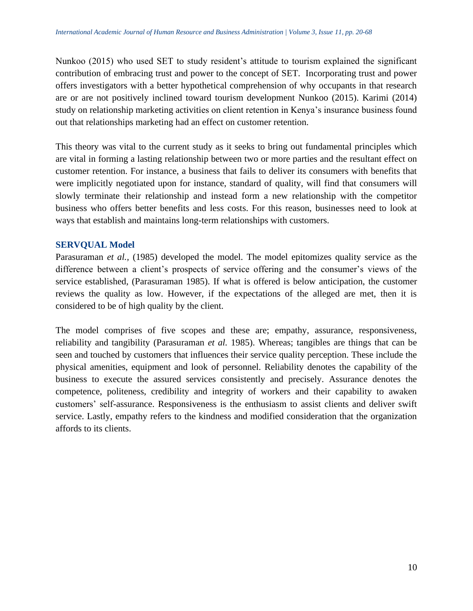Nunkoo (2015) who used SET to study resident's attitude to tourism explained the significant contribution of embracing trust and power to the concept of SET. Incorporating trust and power offers investigators with a better hypothetical comprehension of why occupants in that research are or are not positively inclined toward tourism development Nunkoo (2015). Karimi (2014) study on relationship marketing activities on client retention in Kenya's insurance business found out that relationships marketing had an effect on customer retention.

This theory was vital to the current study as it seeks to bring out fundamental principles which are vital in forming a lasting relationship between two or more parties and the resultant effect on customer retention. For instance, a business that fails to deliver its consumers with benefits that were implicitly negotiated upon for instance, standard of quality, will find that consumers will slowly terminate their relationship and instead form a new relationship with the competitor business who offers better benefits and less costs. For this reason, businesses need to look at ways that establish and maintains long-term relationships with customers.

## **SERVQUAL Model**

Parasuraman *et al.,* (1985) developed the model. The model epitomizes quality service as the difference between a client's prospects of service offering and the consumer's views of the service established, (Parasuraman 1985). If what is offered is below anticipation, the customer reviews the quality as low. However, if the expectations of the alleged are met, then it is considered to be of high quality by the client.

The model comprises of five scopes and these are; empathy, assurance, responsiveness, reliability and tangibility (Parasuraman *et al.* 1985). Whereas; tangibles are things that can be seen and touched by customers that influences their service quality perception. These include the physical amenities, equipment and look of personnel. Reliability denotes the capability of the business to execute the assured services consistently and precisely. Assurance denotes the competence, politeness, credibility and integrity of workers and their capability to awaken customers' self-assurance. Responsiveness is the enthusiasm to assist clients and deliver swift service. Lastly, empathy refers to the kindness and modified consideration that the organization affords to its clients.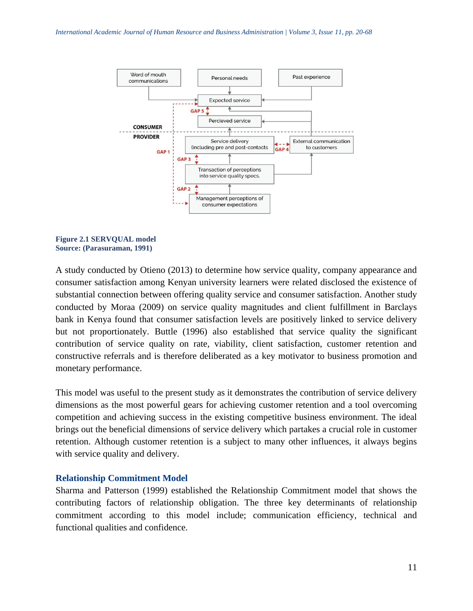

**Figure 2.1 SERVQUAL model Source: (Parasuraman, 1991)**

A study conducted by Otieno (2013) to determine how service quality, company appearance and consumer satisfaction among Kenyan university learners were related disclosed the existence of substantial connection between offering quality service and consumer satisfaction. Another study conducted by Moraa (2009) on service quality magnitudes and client fulfillment in Barclays bank in Kenya found that consumer satisfaction levels are positively linked to service delivery but not proportionately. Buttle (1996) also established that service quality the significant contribution of service quality on rate, viability, client satisfaction, customer retention and constructive referrals and is therefore deliberated as a key motivator to business promotion and monetary performance.

This model was useful to the present study as it demonstrates the contribution of service delivery dimensions as the most powerful gears for achieving customer retention and a tool overcoming competition and achieving success in the existing competitive business environment. The ideal brings out the beneficial dimensions of service delivery which partakes a crucial role in customer retention. Although customer retention is a subject to many other influences, it always begins with service quality and delivery.

#### **Relationship Commitment Model**

Sharma and Patterson (1999) established the Relationship Commitment model that shows the contributing factors of relationship obligation. The three key determinants of relationship commitment according to this model include; communication efficiency, technical and functional qualities and confidence.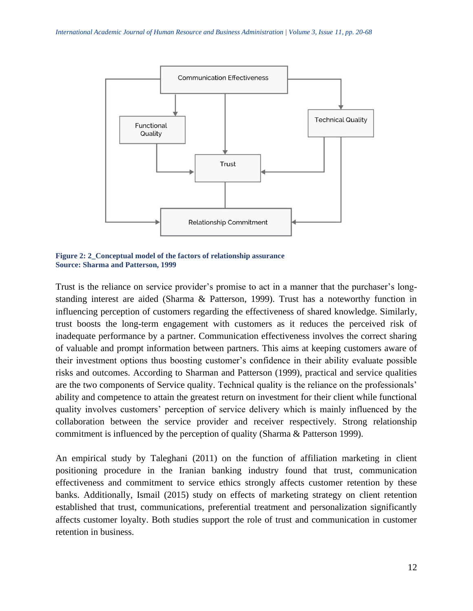

**Figure 2: 2\_Conceptual model of the factors of relationship assurance Source: Sharma and Patterson, 1999**

Trust is the reliance on service provider's promise to act in a manner that the purchaser's longstanding interest are aided (Sharma & Patterson, 1999). Trust has a noteworthy function in influencing perception of customers regarding the effectiveness of shared knowledge. Similarly, trust boosts the long-term engagement with customers as it reduces the perceived risk of inadequate performance by a partner. Communication effectiveness involves the correct sharing of valuable and prompt information between partners. This aims at keeping customers aware of their investment options thus boosting customer's confidence in their ability evaluate possible risks and outcomes. According to Sharman and Patterson (1999), practical and service qualities are the two components of Service quality. Technical quality is the reliance on the professionals' ability and competence to attain the greatest return on investment for their client while functional quality involves customers' perception of service delivery which is mainly influenced by the collaboration between the service provider and receiver respectively. Strong relationship commitment is influenced by the perception of quality (Sharma & Patterson 1999).

An empirical study by Taleghani (2011) on the function of affiliation marketing in client positioning procedure in the Iranian banking industry found that trust, communication effectiveness and commitment to service ethics strongly affects customer retention by these banks. Additionally, Ismail (2015) study on effects of marketing strategy on client retention established that trust, communications, preferential treatment and personalization significantly affects customer loyalty. Both studies support the role of trust and communication in customer retention in business.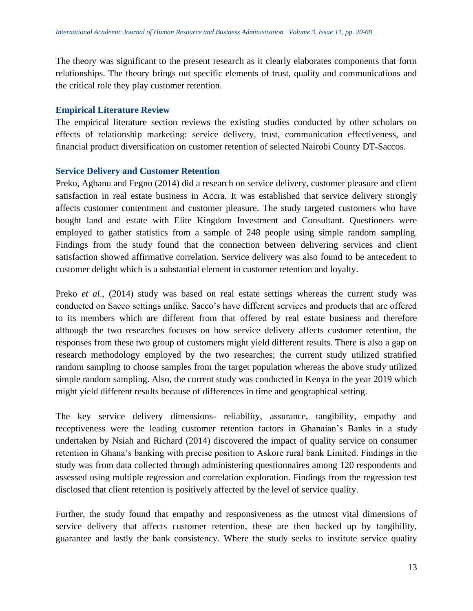The theory was significant to the present research as it clearly elaborates components that form relationships. The theory brings out specific elements of trust, quality and communications and the critical role they play customer retention.

#### **Empirical Literature Review**

The empirical literature section reviews the existing studies conducted by other scholars on effects of relationship marketing: service delivery, trust, communication effectiveness, and financial product diversification on customer retention of selected Nairobi County DT-Saccos.

#### **Service Delivery and Customer Retention**

Preko, Agbanu and Fegno (2014) did a research on service delivery, customer pleasure and client satisfaction in real estate business in Accra. It was established that service delivery strongly affects customer contentment and customer pleasure. The study targeted customers who have bought land and estate with Elite Kingdom Investment and Consultant. Questioners were employed to gather statistics from a sample of 248 people using simple random sampling. Findings from the study found that the connection between delivering services and client satisfaction showed affirmative correlation. Service delivery was also found to be antecedent to customer delight which is a substantial element in customer retention and loyalty.

Preko *et al*., (2014) study was based on real estate settings whereas the current study was conducted on Sacco settings unlike. Sacco's have different services and products that are offered to its members which are different from that offered by real estate business and therefore although the two researches focuses on how service delivery affects customer retention, the responses from these two group of customers might yield different results. There is also a gap on research methodology employed by the two researches; the current study utilized stratified random sampling to choose samples from the target population whereas the above study utilized simple random sampling. Also, the current study was conducted in Kenya in the year 2019 which might yield different results because of differences in time and geographical setting.

The key service delivery dimensions- reliability, assurance, tangibility, empathy and receptiveness were the leading customer retention factors in Ghanaian's Banks in a study undertaken by Nsiah and Richard (2014) discovered the impact of quality service on consumer retention in Ghana's banking with precise position to Askore rural bank Limited. Findings in the study was from data collected through administering questionnaires among 120 respondents and assessed using multiple regression and correlation exploration. Findings from the regression test disclosed that client retention is positively affected by the level of service quality.

Further, the study found that empathy and responsiveness as the utmost vital dimensions of service delivery that affects customer retention, these are then backed up by tangibility, guarantee and lastly the bank consistency. Where the study seeks to institute service quality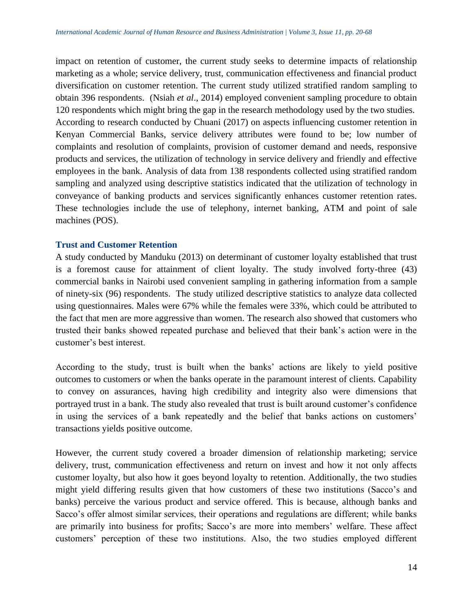impact on retention of customer, the current study seeks to determine impacts of relationship marketing as a whole; service delivery, trust, communication effectiveness and financial product diversification on customer retention. The current study utilized stratified random sampling to obtain 396 respondents. (Nsiah *et al*., 2014) employed convenient sampling procedure to obtain 120 respondents which might bring the gap in the research methodology used by the two studies. According to research conducted by Chuani (2017) on aspects influencing customer retention in Kenyan Commercial Banks, service delivery attributes were found to be; low number of complaints and resolution of complaints, provision of customer demand and needs, responsive products and services, the utilization of technology in service delivery and friendly and effective employees in the bank. Analysis of data from 138 respondents collected using stratified random sampling and analyzed using descriptive statistics indicated that the utilization of technology in conveyance of banking products and services significantly enhances customer retention rates. These technologies include the use of telephony, internet banking, ATM and point of sale machines (POS).

#### **Trust and Customer Retention**

A study conducted by Manduku (2013) on determinant of customer loyalty established that trust is a foremost cause for attainment of client loyalty. The study involved forty-three (43) commercial banks in Nairobi used convenient sampling in gathering information from a sample of ninety-six (96) respondents. The study utilized descriptive statistics to analyze data collected using questionnaires. Males were 67% while the females were 33%, which could be attributed to the fact that men are more aggressive than women. The research also showed that customers who trusted their banks showed repeated purchase and believed that their bank's action were in the customer's best interest.

According to the study, trust is built when the banks' actions are likely to yield positive outcomes to customers or when the banks operate in the paramount interest of clients. Capability to convey on assurances, having high credibility and integrity also were dimensions that portrayed trust in a bank. The study also revealed that trust is built around customer's confidence in using the services of a bank repeatedly and the belief that banks actions on customers' transactions yields positive outcome.

However, the current study covered a broader dimension of relationship marketing; service delivery, trust, communication effectiveness and return on invest and how it not only affects customer loyalty, but also how it goes beyond loyalty to retention. Additionally, the two studies might yield differing results given that how customers of these two institutions (Sacco's and banks) perceive the various product and service offered. This is because, although banks and Sacco's offer almost similar services, their operations and regulations are different; while banks are primarily into business for profits; Sacco's are more into members' welfare. These affect customers' perception of these two institutions. Also, the two studies employed different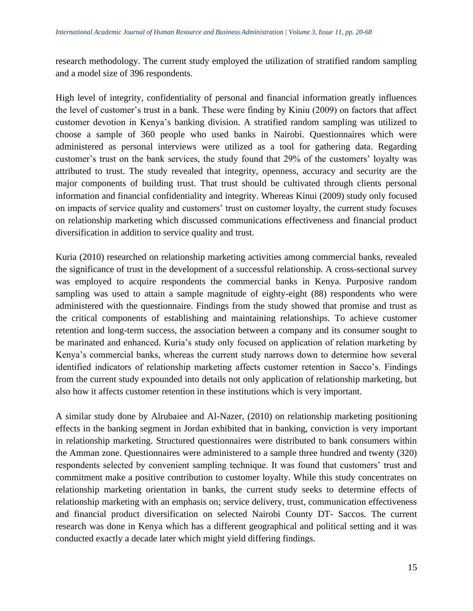research methodology. The current study employed the utilization of stratified random sampling and a model size of 396 respondents.

High level of integrity, confidentiality of personal and financial information greatly influences the level of customer's trust in a bank. These were finding by Kiniu (2009) on factors that affect customer devotion in Kenya's banking division. A stratified random sampling was utilized to choose a sample of 360 people who used banks in Nairobi. Questionnaires which were administered as personal interviews were utilized as a tool for gathering data. Regarding customer's trust on the bank services, the study found that 29% of the customers' loyalty was attributed to trust. The study revealed that integrity, openness, accuracy and security are the major components of building trust. That trust should be cultivated through clients personal information and financial confidentiality and integrity. Whereas Kinui (2009) study only focused on impacts of service quality and customers' trust on customer loyalty, the current study focuses on relationship marketing which discussed communications effectiveness and financial product diversification in addition to service quality and trust.

Kuria (2010) researched on relationship marketing activities among commercial banks, revealed the significance of trust in the development of a successful relationship. A cross-sectional survey was employed to acquire respondents the commercial banks in Kenya. Purposive random sampling was used to attain a sample magnitude of eighty-eight (88) respondents who were administered with the questionnaire. Findings from the study showed that promise and trust as the critical components of establishing and maintaining relationships. To achieve customer retention and long-term success, the association between a company and its consumer sought to be marinated and enhanced. Kuria's study only focused on application of relation marketing by Kenya's commercial banks, whereas the current study narrows down to determine how several identified indicators of relationship marketing affects customer retention in Sacco's. Findings from the current study expounded into details not only application of relationship marketing, but also how it affects customer retention in these institutions which is very important.

A similar study done by Alrubaiee and Al-Nazer, (2010) on relationship marketing positioning effects in the banking segment in Jordan exhibited that in banking, conviction is very important in relationship marketing. Structured questionnaires were distributed to bank consumers within the Amman zone. Questionnaires were administered to a sample three hundred and twenty (320) respondents selected by convenient sampling technique. It was found that customers' trust and commitment make a positive contribution to customer loyalty. While this study concentrates on relationship marketing orientation in banks, the current study seeks to determine effects of relationship marketing with an emphasis on; service delivery, trust, communication effectiveness and financial product diversification on selected Nairobi County DT- Saccos. The current research was done in Kenya which has a different geographical and political setting and it was conducted exactly a decade later which might yield differing findings.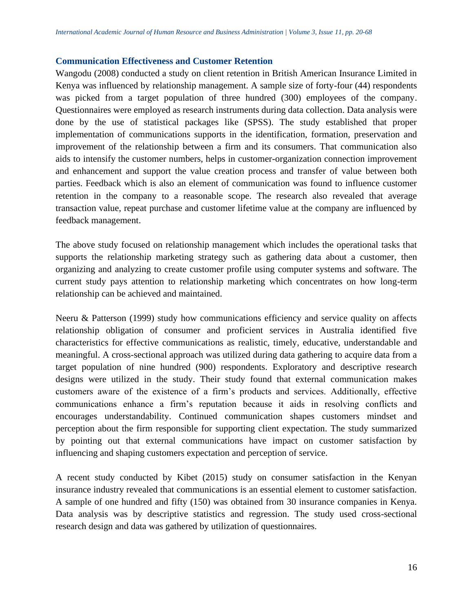#### **Communication Effectiveness and Customer Retention**

Wangodu (2008) conducted a study on client retention in British American Insurance Limited in Kenya was influenced by relationship management. A sample size of forty-four (44) respondents was picked from a target population of three hundred (300) employees of the company. Questionnaires were employed as research instruments during data collection. Data analysis were done by the use of statistical packages like (SPSS). The study established that proper implementation of communications supports in the identification, formation, preservation and improvement of the relationship between a firm and its consumers. That communication also aids to intensify the customer numbers, helps in customer-organization connection improvement and enhancement and support the value creation process and transfer of value between both parties. Feedback which is also an element of communication was found to influence customer retention in the company to a reasonable scope. The research also revealed that average transaction value, repeat purchase and customer lifetime value at the company are influenced by feedback management.

The above study focused on relationship management which includes the operational tasks that supports the relationship marketing strategy such as gathering data about a customer, then organizing and analyzing to create customer profile using computer systems and software. The current study pays attention to relationship marketing which concentrates on how long-term relationship can be achieved and maintained.

Neeru & Patterson (1999) study how communications efficiency and service quality on affects relationship obligation of consumer and proficient services in Australia identified five characteristics for effective communications as realistic, timely, educative, understandable and meaningful. A cross-sectional approach was utilized during data gathering to acquire data from a target population of nine hundred (900) respondents. Exploratory and descriptive research designs were utilized in the study. Their study found that external communication makes customers aware of the existence of a firm's products and services. Additionally, effective communications enhance a firm's reputation because it aids in resolving conflicts and encourages understandability. Continued communication shapes customers mindset and perception about the firm responsible for supporting client expectation. The study summarized by pointing out that external communications have impact on customer satisfaction by influencing and shaping customers expectation and perception of service.

A recent study conducted by Kibet (2015) study on consumer satisfaction in the Kenyan insurance industry revealed that communications is an essential element to customer satisfaction. A sample of one hundred and fifty (150) was obtained from 30 insurance companies in Kenya. Data analysis was by descriptive statistics and regression. The study used cross-sectional research design and data was gathered by utilization of questionnaires.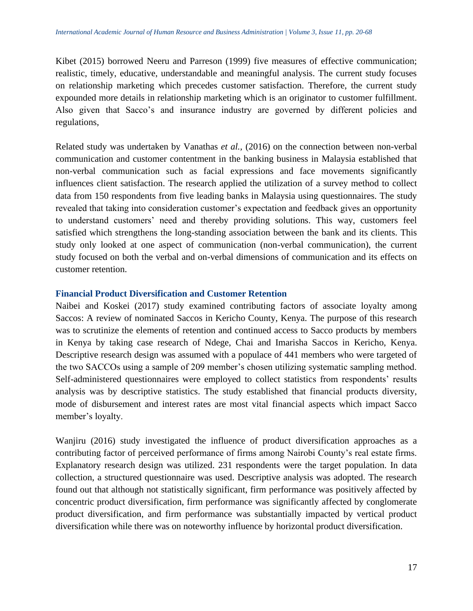Kibet (2015) borrowed Neeru and Parreson (1999) five measures of effective communication; realistic, timely, educative, understandable and meaningful analysis. The current study focuses on relationship marketing which precedes customer satisfaction. Therefore, the current study expounded more details in relationship marketing which is an originator to customer fulfillment. Also given that Sacco's and insurance industry are governed by different policies and regulations,

Related study was undertaken by Vanathas *et al.,* (2016) on the connection between non-verbal communication and customer contentment in the banking business in Malaysia established that non-verbal communication such as facial expressions and face movements significantly influences client satisfaction. The research applied the utilization of a survey method to collect data from 150 respondents from five leading banks in Malaysia using questionnaires. The study revealed that taking into consideration customer's expectation and feedback gives an opportunity to understand customers' need and thereby providing solutions. This way, customers feel satisfied which strengthens the long-standing association between the bank and its clients. This study only looked at one aspect of communication (non-verbal communication), the current study focused on both the verbal and on-verbal dimensions of communication and its effects on customer retention.

#### **Financial Product Diversification and Customer Retention**

Naibei and Koskei (2017) study examined contributing factors of associate loyalty among Saccos: A review of nominated Saccos in Kericho County, Kenya. The purpose of this research was to scrutinize the elements of retention and continued access to Sacco products by members in Kenya by taking case research of Ndege, Chai and Imarisha Saccos in Kericho, Kenya. Descriptive research design was assumed with a populace of 441 members who were targeted of the two SACCOs using a sample of 209 member's chosen utilizing systematic sampling method. Self-administered questionnaires were employed to collect statistics from respondents' results analysis was by descriptive statistics. The study established that financial products diversity, mode of disbursement and interest rates are most vital financial aspects which impact Sacco member's loyalty.

Wanjiru (2016) study investigated the influence of product diversification approaches as a contributing factor of perceived performance of firms among Nairobi County's real estate firms. Explanatory research design was utilized. 231 respondents were the target population. In data collection, a structured questionnaire was used. Descriptive analysis was adopted. The research found out that although not statistically significant, firm performance was positively affected by concentric product diversification, firm performance was significantly affected by conglomerate product diversification, and firm performance was substantially impacted by vertical product diversification while there was on noteworthy influence by horizontal product diversification.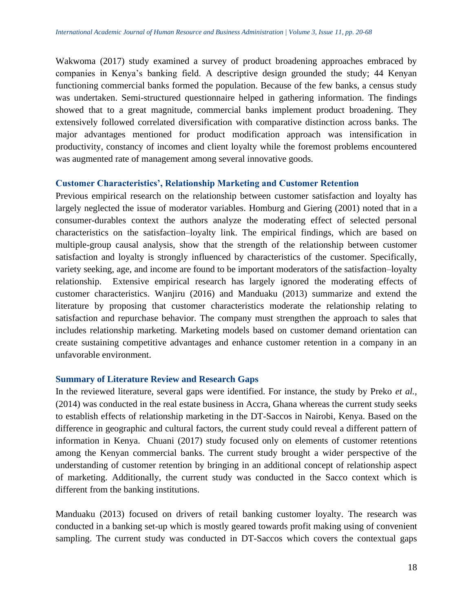Wakwoma (2017) study examined a survey of product broadening approaches embraced by companies in Kenya's banking field. A descriptive design grounded the study; 44 Kenyan functioning commercial banks formed the population. Because of the few banks, a census study was undertaken. Semi-structured questionnaire helped in gathering information. The findings showed that to a great magnitude, commercial banks implement product broadening. They extensively followed correlated diversification with comparative distinction across banks. The major advantages mentioned for product modification approach was intensification in productivity, constancy of incomes and client loyalty while the foremost problems encountered was augmented rate of management among several innovative goods.

#### **Customer Characteristics', Relationship Marketing and Customer Retention**

Previous empirical research on the relationship between customer satisfaction and loyalty has largely neglected the issue of moderator variables. Homburg and Giering (2001) noted that in a consumer-durables context the authors analyze the moderating effect of selected personal characteristics on the satisfaction–loyalty link. The empirical findings, which are based on multiple-group causal analysis, show that the strength of the relationship between customer satisfaction and loyalty is strongly influenced by characteristics of the customer. Specifically, variety seeking, age, and income are found to be important moderators of the satisfaction–loyalty relationship. Extensive empirical research has largely ignored the moderating effects of customer characteristics. Wanjiru (2016) and Manduaku (2013) summarize and extend the literature by proposing that customer characteristics moderate the relationship relating to satisfaction and repurchase behavior. The company must strengthen the approach to sales that includes relationship marketing. Marketing models based on customer demand orientation can create sustaining competitive advantages and enhance customer retention in a company in an unfavorable environment.

## **Summary of Literature Review and Research Gaps**

In the reviewed literature, several gaps were identified. For instance, the study by Preko *et al.,*  (2014) was conducted in the real estate business in Accra, Ghana whereas the current study seeks to establish effects of relationship marketing in the DT-Saccos in Nairobi, Kenya. Based on the difference in geographic and cultural factors, the current study could reveal a different pattern of information in Kenya. Chuani (2017) study focused only on elements of customer retentions among the Kenyan commercial banks. The current study brought a wider perspective of the understanding of customer retention by bringing in an additional concept of relationship aspect of marketing. Additionally, the current study was conducted in the Sacco context which is different from the banking institutions.

Manduaku (2013) focused on drivers of retail banking customer loyalty. The research was conducted in a banking set-up which is mostly geared towards profit making using of convenient sampling. The current study was conducted in DT-Saccos which covers the contextual gaps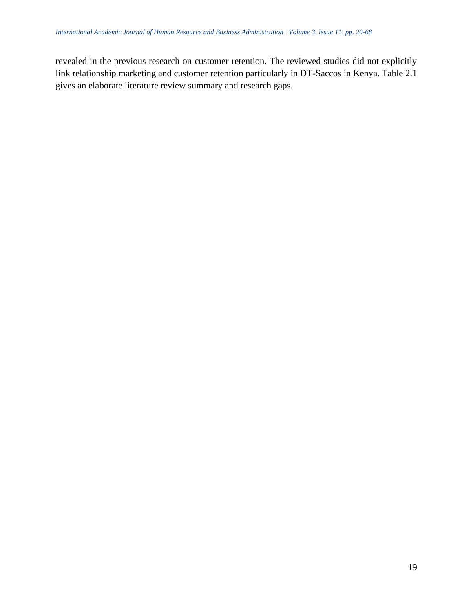revealed in the previous research on customer retention. The reviewed studies did not explicitly link relationship marketing and customer retention particularly in DT-Saccos in Kenya. Table 2.1 gives an elaborate literature review summary and research gaps.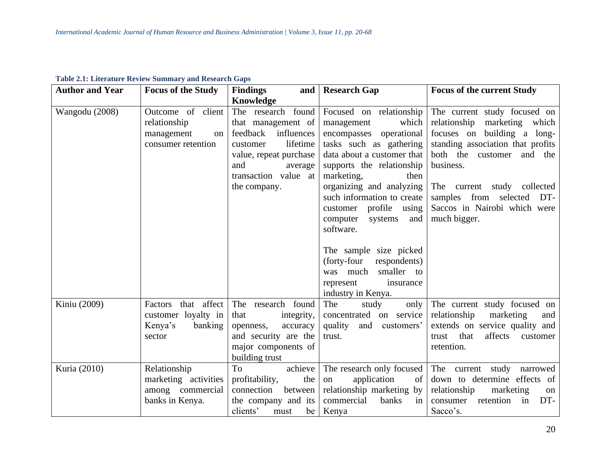| <b>Author and Year</b> | <b>Focus of the Study</b>                                                     | <b>Findings</b>                                                                                                                                                             | and   Research Gap                                                                                                                                                                                                                                                                                                   | <b>Focus of the current Study</b>                                                                                                                                                                                                                                                                     |
|------------------------|-------------------------------------------------------------------------------|-----------------------------------------------------------------------------------------------------------------------------------------------------------------------------|----------------------------------------------------------------------------------------------------------------------------------------------------------------------------------------------------------------------------------------------------------------------------------------------------------------------|-------------------------------------------------------------------------------------------------------------------------------------------------------------------------------------------------------------------------------------------------------------------------------------------------------|
|                        |                                                                               | Knowledge                                                                                                                                                                   |                                                                                                                                                                                                                                                                                                                      |                                                                                                                                                                                                                                                                                                       |
| Wangodu (2008)         | Outcome of client<br>relationship<br>management<br>on<br>consumer retention   | The research found<br>that management of<br>feedback influences<br>lifetime<br>customer<br>value, repeat purchase<br>and<br>average<br>transaction value at<br>the company. | Focused on relationship<br>which<br>management<br>encompasses operational<br>tasks such as gathering<br>data about a customer that<br>supports the relationship<br>marketing,<br>then<br>organizing and analyzing<br>such information to create<br>customer profile using<br>and<br>computer<br>systems<br>software. | The current study focused on<br>relationship<br>marketing<br>which<br>building a long-<br>focuses on<br>standing association that profits<br>both the customer and the<br>business.<br>The current study collected<br>from<br>samples<br>selected DT-<br>Saccos in Nairobi which were<br>much bigger. |
|                        |                                                                               |                                                                                                                                                                             | The sample size picked<br>(forty-four<br>respondents)<br>smaller to<br>was much<br>represent<br>insurance<br>industry in Kenya.                                                                                                                                                                                      |                                                                                                                                                                                                                                                                                                       |
| Kiniu (2009)           | that affect<br>Factors<br>customer loyalty in<br>banking<br>Kenya's<br>sector | The research found<br>that<br>integrity,<br>accuracy<br>openness,<br>and security are the<br>major components of<br>building trust                                          | The<br>study<br>only<br>concentrated on service<br>quality<br>and<br>customers'<br>trust.                                                                                                                                                                                                                            | The current study focused on<br>relationship<br>marketing<br>and<br>extends on service quality and<br>affects<br>that<br>trust<br>customer<br>retention.                                                                                                                                              |
| Kuria (2010)           | Relationship<br>marketing activities<br>among commercial<br>banks in Kenya.   | To<br>achieve<br>the<br>profitability,<br>connection<br>between<br>the company and its<br>clients'<br>be  <br>must                                                          | The research only focused<br>application<br>of<br>on<br>relationship marketing by<br>commercial<br>banks<br>in<br>Kenya                                                                                                                                                                                              | The current study narrowed<br>down to determine effects of<br>relationship<br>marketing<br>on<br>retention<br>in<br>DT-<br>consumer<br>Sacco's.                                                                                                                                                       |

**Table 2.1: Literature Review Summary and Research Gaps**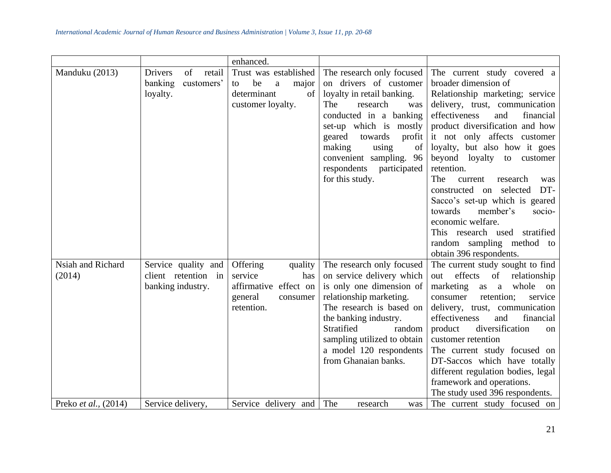|                             |                                                                     | enhanced.                                                                                            |                                                                                                                                                                                                                                                                                                   |                                                                                                                                                                                                                                                                                                                                                                                                                                                                                                                                                                       |
|-----------------------------|---------------------------------------------------------------------|------------------------------------------------------------------------------------------------------|---------------------------------------------------------------------------------------------------------------------------------------------------------------------------------------------------------------------------------------------------------------------------------------------------|-----------------------------------------------------------------------------------------------------------------------------------------------------------------------------------------------------------------------------------------------------------------------------------------------------------------------------------------------------------------------------------------------------------------------------------------------------------------------------------------------------------------------------------------------------------------------|
| Manduku (2013)              | <b>Drivers</b><br>of<br>retail<br>banking<br>customers'<br>loyalty. | Trust was established<br>be<br>$\mathbf{a}$<br>major<br>to<br>determinant<br>of<br>customer loyalty. | The research only focused<br>on drivers of customer<br>loyalty in retail banking.<br>The<br>research<br>was<br>conducted in a banking<br>set-up which is mostly<br>geared<br>towards<br>profit<br>making<br>using<br>of<br>convenient sampling. 96<br>respondents participated<br>for this study. | The current study covered a<br>broader dimension of<br>Relationship marketing; service<br>delivery, trust, communication<br>effectiveness<br>and<br>financial<br>product diversification and how<br>it not only affects customer<br>loyalty, but also how it goes<br>beyond loyalty to customer<br>retention.<br>The<br>research<br>current<br>was<br>constructed on selected<br>DT-<br>Sacco's set-up which is geared<br>towards<br>member's<br>socio-<br>economic welfare.<br>This research used stratified<br>random sampling method to<br>obtain 396 respondents. |
| Nsiah and Richard<br>(2014) | Service quality and<br>client retention in<br>banking industry.     | Offering<br>quality<br>service<br>has<br>affirmative effect on<br>general<br>consumer<br>retention.  | The research only focused<br>on service delivery which<br>is only one dimension of<br>relationship marketing.<br>The research is based on<br>the banking industry.<br>Stratified<br>random<br>sampling utilized to obtain<br>a model 120 respondents<br>from Ghanaian banks.                      | The current study sought to find<br>effects<br>of<br>relationship<br>out<br>marketing<br>whole<br>as<br><sub>a</sub><br>on<br>retention;<br>consumer<br>service<br>delivery, trust, communication<br>and<br>effectiveness<br>financial<br>diversification<br>product<br>on<br>customer retention<br>The current study focused on<br>DT-Saccos which have totally<br>different regulation bodies, legal<br>framework and operations.<br>The study used 396 respondents.                                                                                                |
| Preko et al., (2014)        | Service delivery,                                                   | Service delivery and                                                                                 | The<br>research<br>was                                                                                                                                                                                                                                                                            | The current study focused on                                                                                                                                                                                                                                                                                                                                                                                                                                                                                                                                          |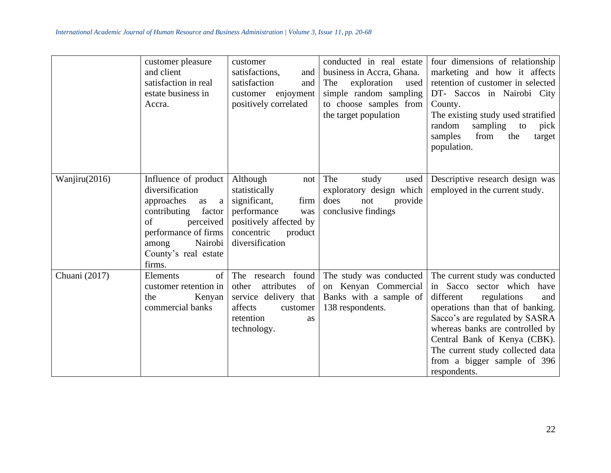|               | customer pleasure<br>and client<br>satisfaction in real<br>estate business in<br>Accra.                                                                                                            | customer<br>satisfactions,<br>and<br>satisfaction<br>and<br>enjoyment<br>customer<br>positively correlated                                           | conducted in real estate<br>business in Accra, Ghana.<br>exploration<br>The<br>used<br>simple random sampling<br>to choose samples from<br>the target population | four dimensions of relationship<br>marketing and how it affects<br>retention of customer in selected<br>DT- Saccos in Nairobi City<br>County.<br>The existing study used stratified<br>random<br>sampling<br>to<br>pick<br>from<br>samples<br>the<br>target<br>population.                                                      |
|---------------|----------------------------------------------------------------------------------------------------------------------------------------------------------------------------------------------------|------------------------------------------------------------------------------------------------------------------------------------------------------|------------------------------------------------------------------------------------------------------------------------------------------------------------------|---------------------------------------------------------------------------------------------------------------------------------------------------------------------------------------------------------------------------------------------------------------------------------------------------------------------------------|
| Wanjiru(2016) | Influence of product<br>diversification<br>approaches<br>as<br>$\rm{a}$<br>contributing<br>factor<br>of<br>perceived<br>performance of firms<br>Nairobi<br>among<br>County's real estate<br>firms. | Although<br>not<br>statistically<br>significant,<br>firm<br>performance<br>was<br>positively affected by<br>concentric<br>product<br>diversification | The<br>study<br>used<br>exploratory design which<br>does<br>provide<br>not<br>conclusive findings                                                                | Descriptive research design was<br>employed in the current study.                                                                                                                                                                                                                                                               |
| Chuani (2017) | of<br>Elements<br>customer retention in<br>Kenyan<br>the<br>commercial banks                                                                                                                       | The research found<br>attributes<br>- of<br>other<br>service delivery that<br>affects<br>customer<br>retention<br><b>as</b><br>technology.           | The study was conducted<br>on Kenyan Commercial<br>Banks with a sample of<br>138 respondents.                                                                    | The current study was conducted<br>Sacco sector which have<br>in<br>different<br>regulations<br>and<br>operations than that of banking.<br>Sacco's are regulated by SASRA<br>whereas banks are controlled by<br>Central Bank of Kenya (CBK).<br>The current study collected data<br>from a bigger sample of 396<br>respondents. |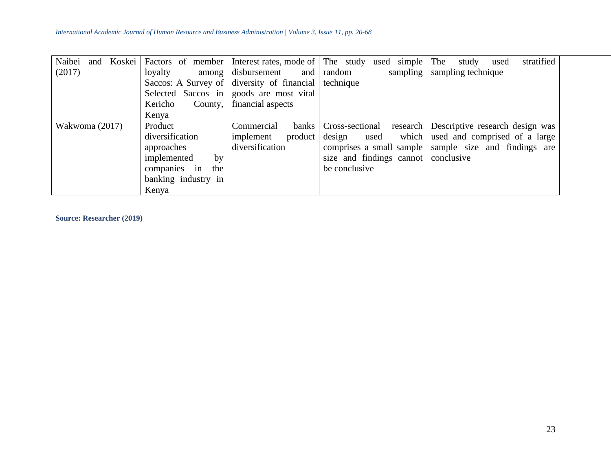| Naibei<br>Koskei  <br>and |                            |                                            | Factors of member   Interest rates, mode of   The study used simple | The<br>stratified<br>study<br>used |
|---------------------------|----------------------------|--------------------------------------------|---------------------------------------------------------------------|------------------------------------|
| (2017)                    | loyalty<br>among           | disbursement<br>and                        | sampling<br>random                                                  | sampling technique                 |
|                           |                            | Saccos: A Survey of diversity of financial | technique                                                           |                                    |
|                           |                            | Selected Saccos in goods are most vital    |                                                                     |                                    |
|                           | Kericho<br>County, $\vert$ | financial aspects                          |                                                                     |                                    |
|                           | Kenya                      |                                            |                                                                     |                                    |
| Wakwoma (2017)            | Product                    | Commercial<br><b>banks</b>                 | Cross-sectional<br>research                                         | Descriptive research design was    |
|                           | diversification            | implement<br>product                       | which<br>design<br>used                                             | used and comprised of a large      |
|                           | approaches                 | diversification                            | comprises a small sample                                            | sample size and findings are       |
|                           | implemented<br>by          |                                            | size and findings cannot                                            | conclusive                         |
|                           | companies in<br>the        |                                            | be conclusive                                                       |                                    |
|                           | banking industry in        |                                            |                                                                     |                                    |
|                           | Kenya                      |                                            |                                                                     |                                    |

**Source: Researcher (2019)**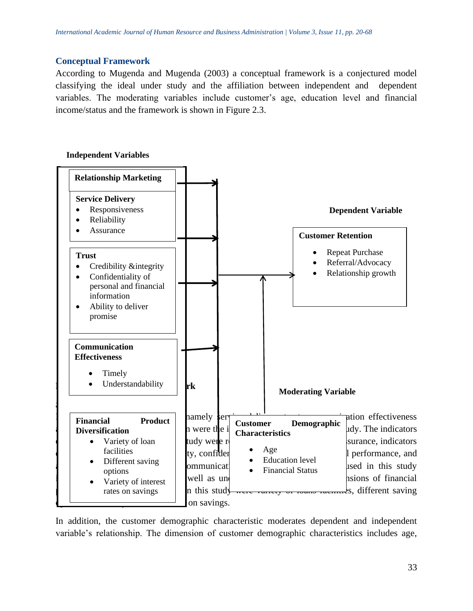#### **Conceptual Framework**

According to Mugenda and Mugenda (2003) a conceptual framework is a conjectured model classifying the ideal under study and the affiliation between independent and dependent variables. The moderating variables include customer's age, education level and financial income/status and the framework is shown in Figure 2.3.

#### **Independent Variables**



In addition, the customer demographic characteristic moderates dependent and independent variable's relationship. The dimension of customer demographic characteristics includes age,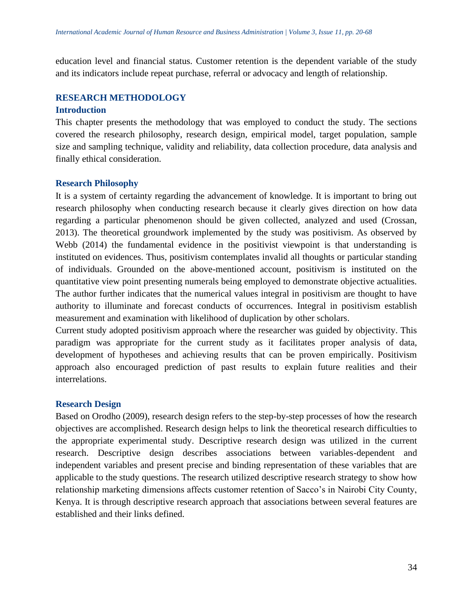education level and financial status. Customer retention is the dependent variable of the study and its indicators include repeat purchase, referral or advocacy and length of relationship.

## **RESEARCH METHODOLOGY**

#### **Introduction**

This chapter presents the methodology that was employed to conduct the study. The sections covered the research philosophy, research design, empirical model, target population, sample size and sampling technique, validity and reliability, data collection procedure, data analysis and finally ethical consideration.

## **Research Philosophy**

It is a system of certainty regarding the advancement of knowledge. It is important to bring out research philosophy when conducting research because it clearly gives direction on how data regarding a particular phenomenon should be given collected, analyzed and used (Crossan, 2013). The theoretical groundwork implemented by the study was positivism. As observed by Webb (2014) the fundamental evidence in the positivist viewpoint is that understanding is instituted on evidences. Thus, positivism contemplates invalid all thoughts or particular standing of individuals. Grounded on the above-mentioned account, positivism is instituted on the quantitative view point presenting numerals being employed to demonstrate objective actualities. The author further indicates that the numerical values integral in positivism are thought to have authority to illuminate and forecast conducts of occurrences. Integral in positivism establish measurement and examination with likelihood of duplication by other scholars.

Current study adopted positivism approach where the researcher was guided by objectivity. This paradigm was appropriate for the current study as it facilitates proper analysis of data, development of hypotheses and achieving results that can be proven empirically. Positivism approach also encouraged prediction of past results to explain future realities and their interrelations.

# **Research Design**

Based on Orodho (2009), research design refers to the step-by-step processes of how the research objectives are accomplished. Research design helps to link the theoretical research difficulties to the appropriate experimental study. Descriptive research design was utilized in the current research. Descriptive design describes associations between variables-dependent and independent variables and present precise and binding representation of these variables that are applicable to the study questions. The research utilized descriptive research strategy to show how relationship marketing dimensions affects customer retention of Sacco's in Nairobi City County, Kenya. It is through descriptive research approach that associations between several features are established and their links defined.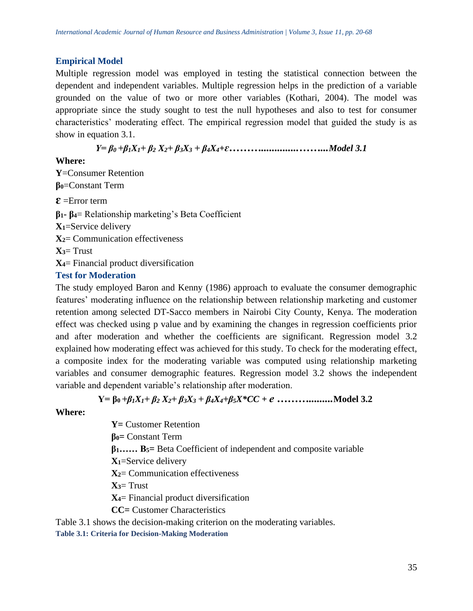# **Empirical Model**

Multiple regression model was employed in testing the statistical connection between the dependent and independent variables. Multiple regression helps in the prediction of a variable grounded on the value of two or more other variables (Kothari, 2004). The model was appropriate since the study sought to test the null hypotheses and also to test for consumer characteristics' moderating effect. The empirical regression model that guided the study is as show in equation 3.1.

*Y= β0 +β1X1+ β<sup>2</sup> X2+ β3X<sup>3</sup> + β4X4+ɛ………..............……...Model 3.1*

## **Where:**

**Y**=Consumer Retention **β0**=Constant Term **ɛ** =Error term **β1- β4**= Relationship marketing's Beta Coefficient **X1**=Service delivery **X2**= Communication effectiveness  $X = Trust$ **X4**= Financial product diversification **Test for Moderation**

The study employed Baron and Kenny (1986) approach to evaluate the consumer demographic features' moderating influence on the relationship between relationship marketing and customer retention among selected DT-Sacco members in Nairobi City County, Kenya. The moderation effect was checked using p value and by examining the changes in regression coefficients prior and after moderation and whether the coefficients are significant. Regression model 3.2 explained how moderating effect was achieved for this study. To check for the moderating effect, a composite index for the moderating variable was computed using relationship marketing variables and consumer demographic features. Regression model 3.2 shows the independent variable and dependent variable's relationship after moderation.

**Y= β0** *+β1X1+ β<sup>2</sup> X2+ β3X<sup>3</sup> + β4X4+β5X\*CC + e ……….........***Model 3.2**

# **Where:**

**Y=** Customer Retention **β0=** Constant Term **β1…… Β5=** Beta Coefficient of independent and composite variable **X1**=Service delivery **X2**= Communication effectiveness **X3**= Trust **X4**= Financial product diversification **CC=** Customer Characteristics

Table 3.1 shows the decision-making criterion on the moderating variables.

**Table 3.1: Criteria for Decision-Making Moderation**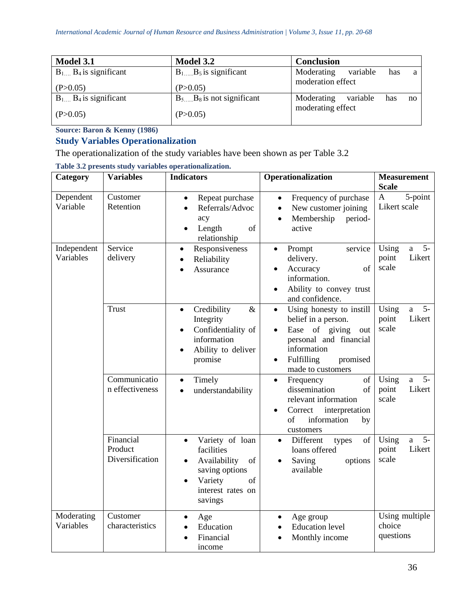| Model 3.1                      | Model 3.2                      | <b>Conclusion</b>                                       |
|--------------------------------|--------------------------------|---------------------------------------------------------|
| $B_1$ $B_4$ is significant     |                                | variable<br>Moderating<br>has<br>a<br>moderation effect |
| (P>0.05)                       | (P>0.05)                       |                                                         |
| $B_1 \dots B_4$ is significant | $B_5$ $B_8$ is not significant | Moderating<br>variable<br>has<br>no                     |
| (P>0.05)                       | (P>0.05)                       | moderating effect                                       |

**Source: Baron & Kenny (1986)**

# **Study Variables Operationalization**

The operationalization of the study variables have been shown as per Table 3.2

|  |  | Table 3.2 presents study variables operationalization. |
|--|--|--------------------------------------------------------|
|  |  |                                                        |

| Category                 | <b>Variables</b>                        | <b>Indicators</b>                                                                                                                                             | Operationalization                                                                                                                                                                                         | <b>Measurement</b><br><b>Scale</b>                        |
|--------------------------|-----------------------------------------|---------------------------------------------------------------------------------------------------------------------------------------------------------------|------------------------------------------------------------------------------------------------------------------------------------------------------------------------------------------------------------|-----------------------------------------------------------|
| Dependent<br>Variable    | Customer<br>Retention                   | Repeat purchase<br>$\bullet$<br>Referrals/Advoc<br>acy<br>Length<br>of<br>relationship                                                                        | Frequency of purchase<br>$\bullet$<br>New customer joining<br>$\bullet$<br>Membership<br>period-<br>$\bullet$<br>active                                                                                    | 5-point<br>$\mathbf{A}$<br>Likert scale                   |
| Independent<br>Variables | Service<br>delivery                     | Responsiveness<br>$\bullet$<br>Reliability<br>$\bullet$<br>Assurance<br>$\bullet$                                                                             | Prompt<br>service<br>$\bullet$<br>delivery.<br>of<br>Accuracy<br>$\bullet$<br>information.<br>Ability to convey trust<br>$\bullet$<br>and confidence.                                                      | $5-$<br>Using<br>$\mathbf{a}$<br>Likert<br>point<br>scale |
|                          | <b>Trust</b>                            | $\&$<br>Credibility<br>$\bullet$<br>Integrity<br>Confidentiality of<br>$\bullet$<br>information<br>Ability to deliver<br>$\bullet$<br>promise                 | Using honesty to instill<br>$\bullet$<br>belief in a person.<br>Ease<br>of giving<br>out<br>$\bullet$<br>personal and financial<br>information<br>Fulfilling<br>promised<br>$\bullet$<br>made to customers | $5-$<br>Using<br>a<br>Likert<br>point<br>scale            |
|                          | Communicatio<br>n effectiveness         | Timely<br>$\bullet$<br>understandability<br>$\bullet$                                                                                                         | Frequency<br>of<br>$\bullet$<br>dissemination<br>of<br>relevant information<br>interpretation<br>Correct<br>$\bullet$<br>of<br>information<br>by<br>customers                                              | $5-$<br>Using<br>a<br>Likert<br>point<br>scale            |
|                          | Financial<br>Product<br>Diversification | Variety of loan<br>$\bullet$<br>facilities<br>Availability<br>of<br>$\bullet$<br>saving options<br>Variety<br>of<br>$\bullet$<br>interest rates on<br>savings | Different<br>of<br>types<br>$\bullet$<br>loans offered<br>Saving<br>options<br>$\bullet$<br>available                                                                                                      | $5-$<br>Using<br>a<br>Likert<br>point<br>scale            |
| Moderating<br>Variables  | Customer<br>characteristics             | Age<br>Education<br>Financial<br>income                                                                                                                       | Age group<br>$\bullet$<br><b>Education level</b><br>$\bullet$<br>Monthly income                                                                                                                            | Using multiple<br>choice<br>questions                     |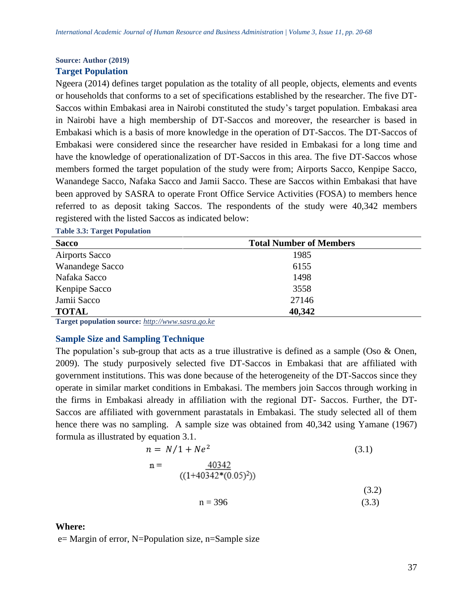#### **Source: Author (2019)**

#### **Target Population**

Ngeera (2014) defines target population as the totality of all people, objects, elements and events or households that conforms to a set of specifications established by the researcher. The five DT-Saccos within Embakasi area in Nairobi constituted the study's target population. Embakasi area in Nairobi have a high membership of DT-Saccos and moreover, the researcher is based in Embakasi which is a basis of more knowledge in the operation of DT-Saccos. The DT-Saccos of Embakasi were considered since the researcher have resided in Embakasi for a long time and have the knowledge of operationalization of DT-Saccos in this area. The five DT-Saccos whose members formed the target population of the study were from; Airports Sacco, Kenpipe Sacco, Wanandege Sacco, Nafaka Sacco and Jamii Sacco. These are Saccos within Embakasi that have been approved by SASRA to operate Front Office Service Activities (FOSA) to members hence referred to as deposit taking Saccos. The respondents of the study were 40,342 members registered with the listed Saccos as indicated below:

#### **Table 3.3: Target Population**

| <b>Sacco</b>           | <b>Total Number of Members</b> |  |
|------------------------|--------------------------------|--|
| <b>Airports Sacco</b>  | 1985                           |  |
| <b>Wanandege Sacco</b> | 6155                           |  |
| Nafaka Sacco           | 1498                           |  |
| Kenpipe Sacco          | 3558                           |  |
| Jamii Sacco            | 27146                          |  |
| <b>TOTAL</b>           | 40,342                         |  |

**Target population source:** *[http://www.sasra.go.ke](http://www.sasra.go.ke/)*

#### **Sample Size and Sampling Technique**

The population's sub-group that acts as a true illustrative is defined as a sample (Oso & Onen, 2009). The study purposively selected five DT-Saccos in Embakasi that are affiliated with government institutions. This was done because of the heterogeneity of the DT-Saccos since they operate in similar market conditions in Embakasi. The members join Saccos through working in the firms in Embakasi already in affiliation with the regional DT- Saccos. Further, the DT-Saccos are affiliated with government parastatals in Embakasi. The study selected all of them hence there was no sampling. A sample size was obtained from 40,342 using Yamane (1967) formula as illustrated by equation 3.1.

$$
n = N/1 + Ne2
$$
(3.1)  

$$
n = \frac{40342}{((1+40342*(0.05)^{2}))}
$$
(3.2)  

$$
n = 396
$$
(3.3)

#### **Where:**

e= Margin of error, N=Population size, n=Sample size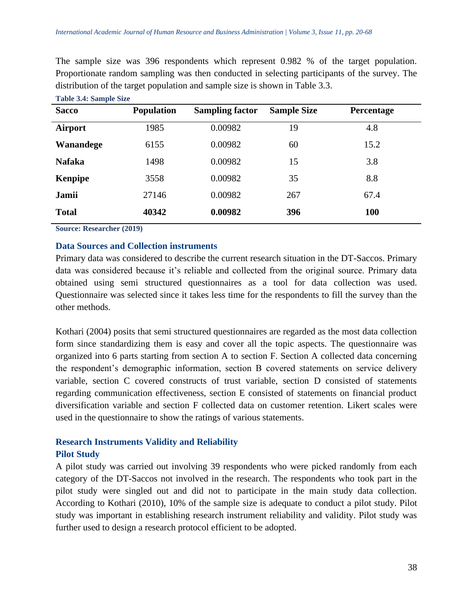The sample size was 396 respondents which represent 0.982 % of the target population. Proportionate random sampling was then conducted in selecting participants of the survey. The distribution of the target population and sample size is shown in Table 3.3.

| <b>Sacco</b>   | <b>Population</b> | <b>Sampling factor</b> | <b>Sample Size</b> | Percentage |
|----------------|-------------------|------------------------|--------------------|------------|
| Airport        | 1985              | 0.00982                | 19                 | 4.8        |
| Wanandege      | 6155              | 0.00982                | 60                 | 15.2       |
| <b>Nafaka</b>  | 1498              | 0.00982                | 15                 | 3.8        |
| <b>Kenpipe</b> | 3558              | 0.00982                | 35                 | 8.8        |
| Jamii          | 27146             | 0.00982                | 267                | 67.4       |
| <b>Total</b>   | 40342             | 0.00982                | 396                | <b>100</b> |

**Table 3.4: Sample Size**

**Source: Researcher (2019)**

## **Data Sources and Collection instruments**

Primary data was considered to describe the current research situation in the DT-Saccos. Primary data was considered because it's reliable and collected from the original source. Primary data obtained using semi structured questionnaires as a tool for data collection was used. Questionnaire was selected since it takes less time for the respondents to fill the survey than the other methods.

Kothari (2004) posits that semi structured questionnaires are regarded as the most data collection form since standardizing them is easy and cover all the topic aspects. The questionnaire was organized into 6 parts starting from section A to section F. Section A collected data concerning the respondent's demographic information, section B covered statements on service delivery variable, section C covered constructs of trust variable, section D consisted of statements regarding communication effectiveness, section E consisted of statements on financial product diversification variable and section F collected data on customer retention. Likert scales were used in the questionnaire to show the ratings of various statements.

# **Research Instruments Validity and Reliability Pilot Study**

A pilot study was carried out involving 39 respondents who were picked randomly from each category of the DT-Saccos not involved in the research. The respondents who took part in the pilot study were singled out and did not to participate in the main study data collection. According to Kothari (2010), 10% of the sample size is adequate to conduct a pilot study. Pilot study was important in establishing research instrument reliability and validity. Pilot study was further used to design a research protocol efficient to be adopted.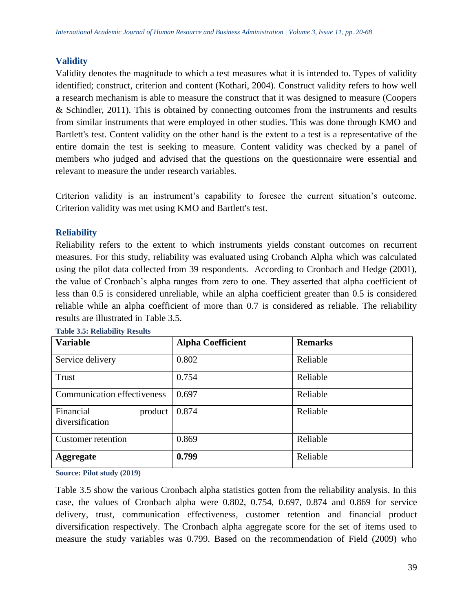# **Validity**

Validity denotes the magnitude to which a test measures what it is intended to. Types of validity identified; construct, criterion and content (Kothari, 2004). Construct validity refers to how well a research mechanism is able to measure the construct that it was designed to measure (Coopers & Schindler, 2011). This is obtained by connecting outcomes from the instruments and results from similar instruments that were employed in other studies. This was done through KMO and Bartlett's test. Content validity on the other hand is the extent to a test is a representative of the entire domain the test is seeking to measure. Content validity was checked by a panel of members who judged and advised that the questions on the questionnaire were essential and relevant to measure the under research variables.

Criterion validity is an instrument's capability to foresee the current situation's outcome. Criterion validity was met using KMO and Bartlett's test.

# **Reliability**

Reliability refers to the extent to which instruments yields constant outcomes on recurrent measures. For this study, reliability was evaluated using Crobanch Alpha which was calculated using the pilot data collected from 39 respondents. According to Cronbach and Hedge (2001), the value of Cronbach's alpha ranges from zero to one. They asserted that alpha coefficient of less than 0.5 is considered unreliable, while an alpha coefficient greater than 0.5 is considered reliable while an alpha coefficient of more than 0.7 is considered as reliable. The reliability results are illustrated in Table 3.5.

| <b>Variable</b>                         | <b>Alpha Coefficient</b> | <b>Remarks</b> |
|-----------------------------------------|--------------------------|----------------|
| Service delivery                        | 0.802                    | Reliable       |
| Trust                                   | 0.754                    | Reliable       |
| <b>Communication effectiveness</b>      | 0.697                    | Reliable       |
| Financial<br>product<br>diversification | 0.874                    | Reliable       |
| <b>Customer</b> retention               | 0.869                    | Reliable       |
| <b>Aggregate</b>                        | 0.799                    | Reliable       |

**Table 3.5: Reliability Results** 

**Source: Pilot study (2019)**

Table 3.5 show the various Cronbach alpha statistics gotten from the reliability analysis. In this case, the values of Cronbach alpha were 0.802, 0.754, 0.697, 0.874 and 0.869 for service delivery, trust, communication effectiveness, customer retention and financial product diversification respectively. The Cronbach alpha aggregate score for the set of items used to measure the study variables was 0.799. Based on the recommendation of Field (2009) who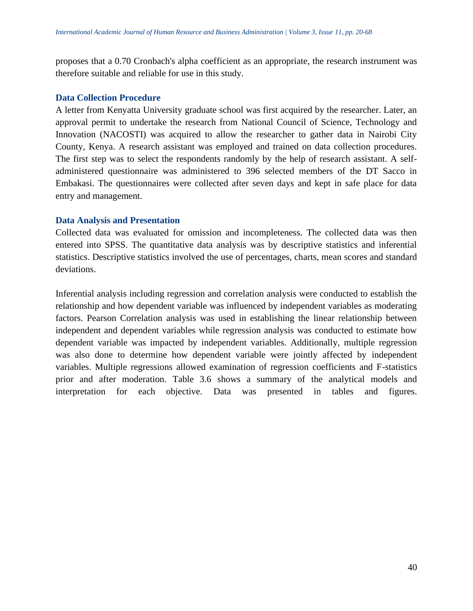proposes that a 0.70 Cronbach's alpha coefficient as an appropriate, the research instrument was therefore suitable and reliable for use in this study.

#### **Data Collection Procedure**

A letter from Kenyatta University graduate school was first acquired by the researcher. Later, an approval permit to undertake the research from National Council of Science, Technology and Innovation (NACOSTI) was acquired to allow the researcher to gather data in Nairobi City County, Kenya. A research assistant was employed and trained on data collection procedures. The first step was to select the respondents randomly by the help of research assistant. A selfadministered questionnaire was administered to 396 selected members of the DT Sacco in Embakasi. The questionnaires were collected after seven days and kept in safe place for data entry and management.

#### **Data Analysis and Presentation**

Collected data was evaluated for omission and incompleteness. The collected data was then entered into SPSS. The quantitative data analysis was by descriptive statistics and inferential statistics. Descriptive statistics involved the use of percentages, charts, mean scores and standard deviations.

Inferential analysis including regression and correlation analysis were conducted to establish the relationship and how dependent variable was influenced by independent variables as moderating factors. Pearson Correlation analysis was used in establishing the linear relationship between independent and dependent variables while regression analysis was conducted to estimate how dependent variable was impacted by independent variables. Additionally, multiple regression was also done to determine how dependent variable were jointly affected by independent variables. Multiple regressions allowed examination of regression coefficients and F-statistics prior and after moderation. Table 3.6 shows a summary of the analytical models and interpretation for each objective. Data was presented in tables and figures.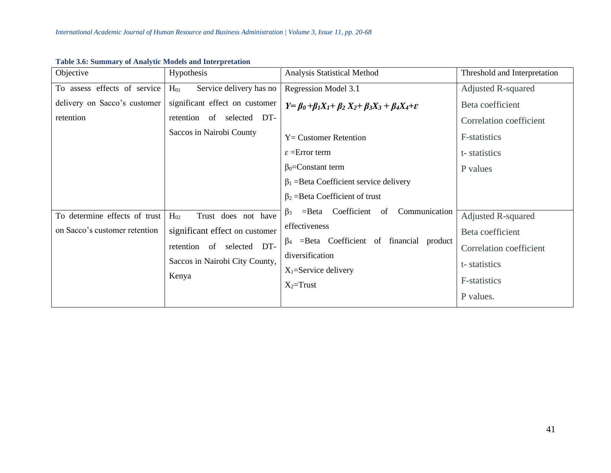| Objective                     | Hypothesis                          | Analysis Statistical Method                                                         | Threshold and Interpretation |
|-------------------------------|-------------------------------------|-------------------------------------------------------------------------------------|------------------------------|
| To assess effects of service  | Service delivery has no<br>$H_{01}$ | Regression Model 3.1                                                                | Adjusted R-squared           |
| delivery on Sacco's customer  | significant effect on customer      | $Y = \beta_0 + \beta_1 X_1 + \beta_2 X_2 + \beta_3 X_3 + \beta_4 X_4 + \varepsilon$ | Beta coefficient             |
| retention                     | retention of selected DT-           |                                                                                     | Correlation coefficient      |
|                               | Saccos in Nairobi County            | $Y =$ Customer Retention                                                            | F-statistics                 |
|                               |                                     | $\varepsilon$ = Error term                                                          | t-statistics                 |
|                               |                                     | $\beta_0$ =Constant term                                                            | P values                     |
|                               |                                     | $\beta_1$ = Beta Coefficient service delivery                                       |                              |
|                               |                                     | $\beta_2$ = Beta Coefficient of trust                                               |                              |
| To determine effects of trust | $H_{02}$<br>Trust does not have     | Coefficient<br>Communication<br>$=$ Beta<br>of<br>$\beta_3$                         | Adjusted R-squared           |
| on Sacco's customer retention | significant effect on customer      | effectiveness                                                                       | Beta coefficient             |
|                               | retention<br>selected DT-<br>of     | $\beta_4$ =Beta Coefficient of financial<br>product                                 | Correlation coefficient      |
|                               | Saccos in Nairobi City County,      | diversification                                                                     | t-statistics                 |
|                               | Kenya                               | $X_1 =$ Service delivery                                                            |                              |
|                               |                                     | $X_2$ =Trust                                                                        | F-statistics                 |
|                               |                                     |                                                                                     | P values.                    |

#### **Table 3.6: Summary of Analytic Models and Interpretation**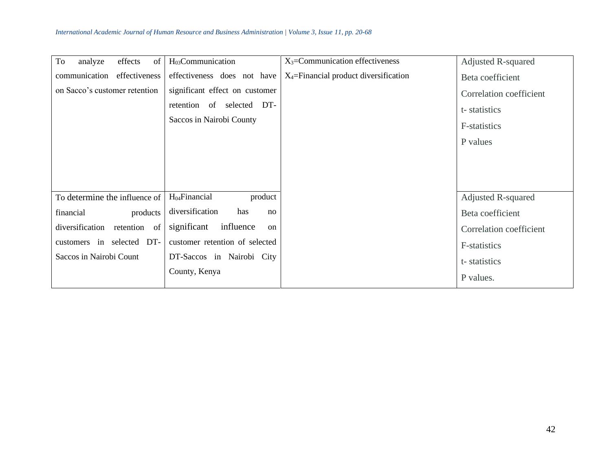| To<br>effects<br>analyze<br>of  | H <sub>03</sub> Communication                                                           | $X_3$ =Communication effectiveness       | <b>Adjusted R-squared</b>                                           |
|---------------------------------|-----------------------------------------------------------------------------------------|------------------------------------------|---------------------------------------------------------------------|
| communication<br>effectiveness  | effectiveness does not have                                                             | $X_4$ =Financial product diversification | Beta coefficient                                                    |
| on Sacco's customer retention   | significant effect on customer<br>retention of selected DT-<br>Saccos in Nairobi County |                                          | Correlation coefficient<br>t-statistics<br>F-statistics<br>P values |
|                                 |                                                                                         |                                          |                                                                     |
| To determine the influence of   | H <sub>04</sub> Financial<br>product                                                    |                                          | <b>Adjusted R-squared</b>                                           |
| products<br>financial           | diversification<br>has<br>no                                                            |                                          | Beta coefficient                                                    |
| diversification<br>retention of | influence<br>significant<br><sub>on</sub>                                               |                                          | Correlation coefficient                                             |
| customers in selected DT-       | customer retention of selected                                                          |                                          | F-statistics                                                        |
| Saccos in Nairobi Count         | DT-Saccos in Nairobi City                                                               |                                          | t-statistics                                                        |
|                                 | County, Kenya                                                                           |                                          | P values.                                                           |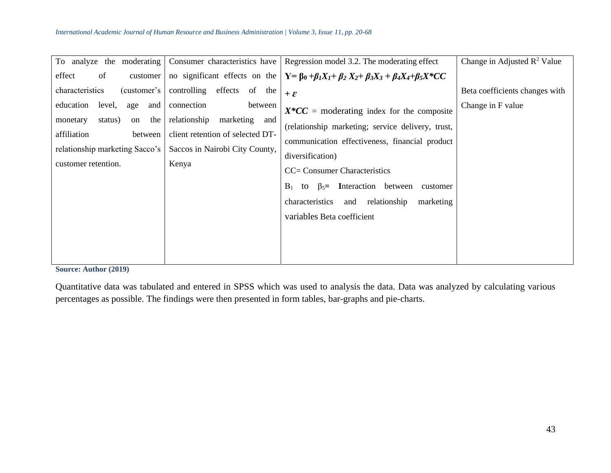| To analyze the moderating                                             | Consumer characteristics have                             | Regression model 3.2. The moderating effect                                                                          | Change in Adjusted $\mathbb{R}^2$ Value |
|-----------------------------------------------------------------------|-----------------------------------------------------------|----------------------------------------------------------------------------------------------------------------------|-----------------------------------------|
| effect<br>of<br>customer                                              |                                                           | no significant effects on the $Y = \beta_0 + \beta_1 X_1 + \beta_2 X_2 + \beta_3 X_3 + \beta_4 X_4 + \beta_5 X^* CC$ |                                         |
| characteristics<br>(customer's)                                       | effects<br>controlling<br>of the                          | $+ \varepsilon$                                                                                                      | Beta coefficients changes with          |
| education<br>level,<br>age<br>and<br>the<br>status)<br>monetary<br>on | connection<br>between<br>relationship<br>marketing<br>and | $X^*CC$ = moderating index for the composite                                                                         | Change in F value                       |
| affiliation<br>between                                                | client retention of selected DT-                          | (relationship marketing; service delivery, trust,<br>communication effectiveness, financial product                  |                                         |
| relationship marketing Sacco's                                        | Saccos in Nairobi City County,                            | diversification)                                                                                                     |                                         |
| customer retention.                                                   | Kenya                                                     | CC= Consumer Characteristics                                                                                         |                                         |
|                                                                       |                                                           | $\beta_5$ Interaction between<br>$B_1$<br>to<br>customer                                                             |                                         |
|                                                                       |                                                           | relationship<br>characteristics<br>marketing<br>and                                                                  |                                         |
|                                                                       |                                                           | variables Beta coefficient                                                                                           |                                         |
|                                                                       |                                                           |                                                                                                                      |                                         |
|                                                                       |                                                           |                                                                                                                      |                                         |

**Source: Author (2019)**

Quantitative data was tabulated and entered in SPSS which was used to analysis the data. Data was analyzed by calculating various percentages as possible. The findings were then presented in form tables, bar-graphs and pie-charts.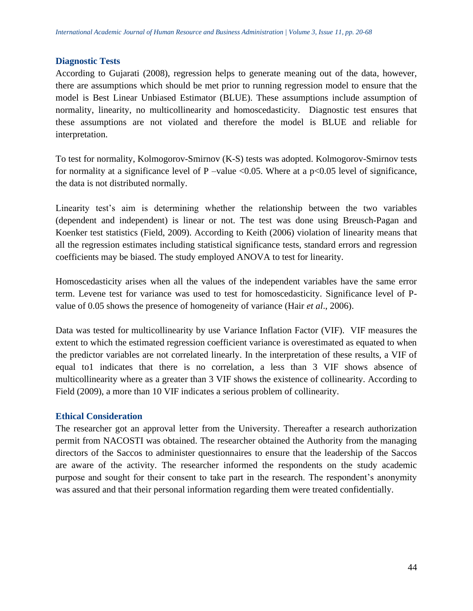#### **Diagnostic Tests**

According to Gujarati (2008), regression helps to generate meaning out of the data, however, there are assumptions which should be met prior to running regression model to ensure that the model is Best Linear Unbiased Estimator (BLUE). These assumptions include assumption of normality, linearity, no multicollinearity and homoscedasticity. Diagnostic test ensures that these assumptions are not violated and therefore the model is BLUE and reliable for interpretation.

To test for normality, Kolmogorov-Smirnov (K-S) tests was adopted. Kolmogorov-Smirnov tests for normality at a significance level of P –value  $\langle 0.05$ . Where at a p $\langle 0.05 \rangle$  level of significance, the data is not distributed normally.

Linearity test's aim is determining whether the relationship between the two variables (dependent and independent) is linear or not. The test was done using Breusch-Pagan and Koenker test statistics (Field, 2009). According to Keith (2006) violation of linearity means that all the regression estimates including statistical significance tests, standard errors and regression coefficients may be biased. The study employed ANOVA to test for linearity.

Homoscedasticity arises when all the values of the independent variables have the same error term. Levene test for variance was used to test for homoscedasticity. Significance level of Pvalue of 0.05 shows the presence of homogeneity of variance (Hair *et al*., 2006).

Data was tested for multicollinearity by use Variance Inflation Factor (VIF). VIF measures the extent to which the estimated regression coefficient variance is overestimated as equated to when the predictor variables are not correlated linearly. In the interpretation of these results, a VIF of equal to1 indicates that there is no correlation, a less than 3 VIF shows absence of multicollinearity where as a greater than 3 VIF shows the existence of collinearity. According to Field (2009), a more than 10 VIF indicates a serious problem of collinearity.

## **Ethical Consideration**

The researcher got an approval letter from the University. Thereafter a research authorization permit from NACOSTI was obtained. The researcher obtained the Authority from the managing directors of the Saccos to administer questionnaires to ensure that the leadership of the Saccos are aware of the activity. The researcher informed the respondents on the study academic purpose and sought for their consent to take part in the research. The respondent's anonymity was assured and that their personal information regarding them were treated confidentially.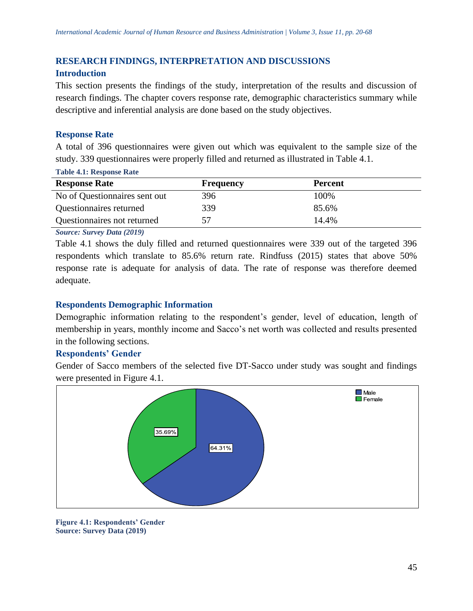# **RESEARCH FINDINGS, INTERPRETATION AND DISCUSSIONS**

## **Introduction**

This section presents the findings of the study, interpretation of the results and discussion of research findings. The chapter covers response rate, demographic characteristics summary while descriptive and inferential analysis are done based on the study objectives.

## **Response Rate**

A total of 396 questionnaires were given out which was equivalent to the sample size of the study. 339 questionnaires were properly filled and returned as illustrated in Table 4.1.

| <b>Table 4.1: Response Rate</b> |           |                |
|---------------------------------|-----------|----------------|
| <b>Response Rate</b>            | Frequency | <b>Percent</b> |
| No of Questionnaires sent out   | 396       | 100\%          |
| Questionnaires returned         | 339       | 85.6%          |
| Questionnaires not returned     |           | 14.4%          |

*Source: Survey Data (2019)*

Table 4.1 shows the duly filled and returned questionnaires were 339 out of the targeted 396 respondents which translate to 85.6% return rate. Rindfuss (2015) states that above 50% response rate is adequate for analysis of data. The rate of response was therefore deemed adequate.

## **Respondents Demographic Information**

Demographic information relating to the respondent's gender, level of education, length of membership in years, monthly income and Sacco's net worth was collected and results presented in the following sections.

## **Respondents' Gender**

Gender of Sacco members of the selected five DT-Sacco under study was sought and findings were presented in Figure 4.1.



**Figure 4.1: Respondents' Gender Source: Survey Data (2019)**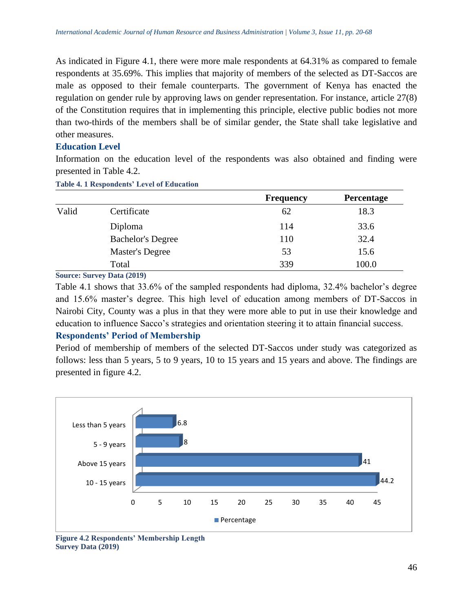As indicated in Figure 4.1, there were more male respondents at 64.31% as compared to female respondents at 35.69%. This implies that majority of members of the selected as DT-Saccos are male as opposed to their female counterparts. The government of Kenya has enacted the regulation on gender rule by approving laws on gender representation. For instance, article 27(8) of the Constitution requires that in implementing this principle, elective public bodies not more than two-thirds of the members shall be of similar gender, the State shall take legislative and other measures.

## **Education Level**

Information on the education level of the respondents was also obtained and finding were presented in Table 4.2.

**Table 4. 1 Respondents' Level of Education**

|                          | <b>Frequency</b> | Percentage |
|--------------------------|------------------|------------|
| Certificate              | 62               | 18.3       |
| Diploma                  | 114              | 33.6       |
| <b>Bachelor's Degree</b> | 110              | 32.4       |
| Master's Degree          | 53               | 15.6       |
| Total                    | 339              | 100.0      |
|                          |                  |            |

**Source: Survey Data (2019)**

Table 4.1 shows that 33.6% of the sampled respondents had diploma, 32.4% bachelor's degree and 15.6% master's degree. This high level of education among members of DT-Saccos in Nairobi City, County was a plus in that they were more able to put in use their knowledge and education to influence Sacco's strategies and orientation steering it to attain financial success.

## **Respondents' Period of Membership**

Period of membership of members of the selected DT-Saccos under study was categorized as follows: less than 5 years, 5 to 9 years, 10 to 15 years and 15 years and above. The findings are presented in figure 4.2.



**Figure 4.2 Respondents' Membership Length Survey Data (2019)**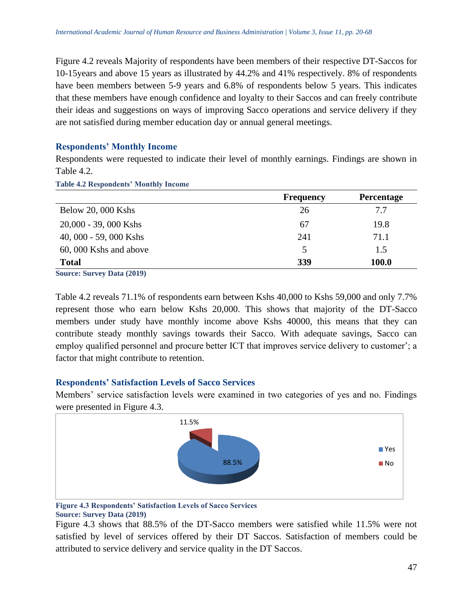Figure 4.2 reveals Majority of respondents have been members of their respective DT-Saccos for 10-15years and above 15 years as illustrated by 44.2% and 41% respectively. 8% of respondents have been members between 5-9 years and 6.8% of respondents below 5 years. This indicates that these members have enough confidence and loyalty to their Saccos and can freely contribute their ideas and suggestions on ways of improving Sacco operations and service delivery if they are not satisfied during member education day or annual general meetings.

## **Respondents' Monthly Income**

Respondents were requested to indicate their level of monthly earnings. Findings are shown in Table 4.2.

**Table 4.2 Respondents' Monthly Income**

|                        | <b>Frequency</b> | <b>Percentage</b> |
|------------------------|------------------|-------------------|
| Below 20, 000 Kshs     | 26               | 7.7               |
| 20,000 - 39,000 Kshs   | 67               | 19.8              |
| 40, 000 - 59, 000 Kshs | 241              | 71.1              |
| 60, 000 Kshs and above | 5                | 1.5               |
| <b>Total</b>           | 339              | 100.0             |

**Source: Survey Data (2019)**

Table 4.2 reveals 71.1% of respondents earn between Kshs 40,000 to Kshs 59,000 and only 7.7% represent those who earn below Kshs 20,000. This shows that majority of the DT-Sacco members under study have monthly income above Kshs 40000, this means that they can contribute steady monthly savings towards their Sacco. With adequate savings, Sacco can employ qualified personnel and procure better ICT that improves service delivery to customer'; a factor that might contribute to retention.

## **Respondents' Satisfaction Levels of Sacco Services**

Members' service satisfaction levels were examined in two categories of yes and no. Findings were presented in Figure 4.3.



#### **Figure 4.3 Respondents' Satisfaction Levels of Sacco Services Source: Survey Data (2019)**

Figure 4.3 shows that 88.5% of the DT-Sacco members were satisfied while 11.5% were not satisfied by level of services offered by their DT Saccos. Satisfaction of members could be attributed to service delivery and service quality in the DT Saccos.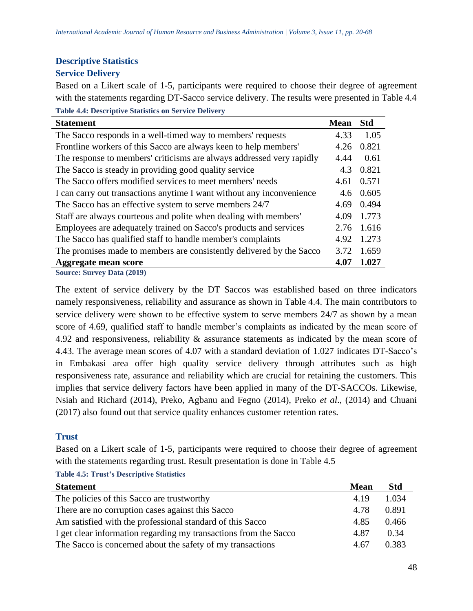# **Descriptive Statistics**

# **Service Delivery**

Based on a Likert scale of 1-5, participants were required to choose their degree of agreement with the statements regarding DT-Sacco service delivery. The results were presented in Table 4.4 **Table 4.4: Descriptive Statistics on Service Delivery** 

| <b>Statement</b>                                                      | <b>Mean</b> | <b>Std</b> |
|-----------------------------------------------------------------------|-------------|------------|
| The Sacco responds in a well-timed way to members' requests           | 4.33        | 1.05       |
| Frontline workers of this Sacco are always keen to help members'      | 4.26        | 0.821      |
| The response to members' criticisms are always addressed very rapidly | 4.44        | 0.61       |
| The Sacco is steady in providing good quality service                 | 4.3         | 0.821      |
| The Sacco offers modified services to meet members' needs             | 4.61        | 0.571      |
| I can carry out transactions anytime I want without any inconvenience | 4.6         | 0.605      |
| The Sacco has an effective system to serve members 24/7               | 4.69        | 0.494      |
| Staff are always courteous and polite when dealing with members'      | 4.09        | 1.773      |
| Employees are adequately trained on Sacco's products and services     | 2.76        | 1.616      |
| The Sacco has qualified staff to handle member's complaints           | 4.92        | 1.273      |
| The promises made to members are consistently delivered by the Sacco  | 3.72        | 1.659      |
| Aggregate mean score                                                  | 4.07        | 1.027      |
| <b>Source: Survey Data (2019)</b>                                     |             |            |

The extent of service delivery by the DT Saccos was established based on three indicators namely responsiveness, reliability and assurance as shown in Table 4.4. The main contributors to service delivery were shown to be effective system to serve members 24/7 as shown by a mean score of 4.69, qualified staff to handle member's complaints as indicated by the mean score of 4.92 and responsiveness, reliability & assurance statements as indicated by the mean score of 4.43. The average mean scores of 4.07 with a standard deviation of 1.027 indicates DT-Sacco's in Embakasi area offer high quality service delivery through attributes such as high responsiveness rate, assurance and reliability which are crucial for retaining the customers. This implies that service delivery factors have been applied in many of the DT-SACCOs. Likewise, Nsiah and Richard (2014), Preko, Agbanu and Fegno (2014), Preko *et al*., (2014) and Chuani (2017) also found out that service quality enhances customer retention rates.

## **Trust**

Based on a Likert scale of 1-5, participants were required to choose their degree of agreement with the statements regarding trust. Result presentation is done in Table 4.5

| Lable 4.5. If use s Descriptive Statistics                       |             |            |
|------------------------------------------------------------------|-------------|------------|
| <b>Statement</b>                                                 | <b>Mean</b> | <b>Std</b> |
| The policies of this Sacco are trustworthy                       | 4.19        | 1.034      |
| There are no corruption cases against this Sacco                 | 4.78        | 0.891      |
| Am satisfied with the professional standard of this Sacco        | 4.85        | 0.466      |
| I get clear information regarding my transactions from the Sacco | 4.87        | 0.34       |
| The Sacco is concerned about the safety of my transactions       | 4.67        | 0.383      |

**Table 4.5: Trust's Descriptive Statistics**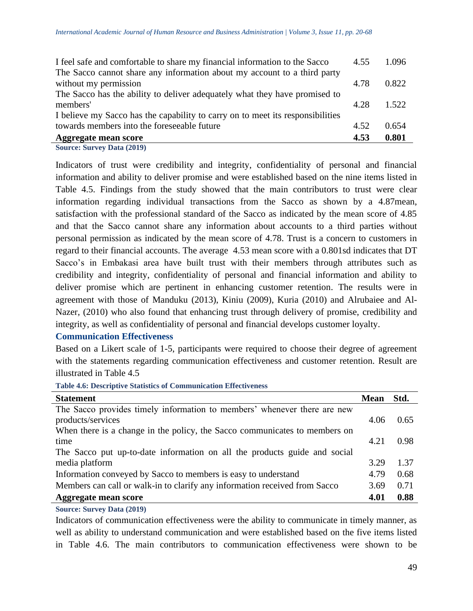| <b>Aggregate mean score</b>                                                    | 4.53 | 0.801 |
|--------------------------------------------------------------------------------|------|-------|
| towards members into the foreseeable future                                    | 4.52 | 0.654 |
| I believe my Sacco has the capability to carry on to meet its responsibilities |      |       |
| members'                                                                       | 4.28 | 1.522 |
| The Sacco has the ability to deliver adequately what they have promised to     |      |       |
| without my permission                                                          | 4.78 | 0.822 |
| The Sacco cannot share any information about my account to a third party       |      |       |
| I feel safe and comfortable to share my financial information to the Sacco     | 4.55 | 1.096 |
|                                                                                |      |       |

**Source: Survey Data (2019)**

Indicators of trust were credibility and integrity, confidentiality of personal and financial information and ability to deliver promise and were established based on the nine items listed in Table 4.5. Findings from the study showed that the main contributors to trust were clear information regarding individual transactions from the Sacco as shown by a 4.87mean, satisfaction with the professional standard of the Sacco as indicated by the mean score of 4.85 and that the Sacco cannot share any information about accounts to a third parties without personal permission as indicated by the mean score of 4.78. Trust is a concern to customers in regard to their financial accounts. The average 4.53 mean score with a 0.801sd indicates that DT Sacco's in Embakasi area have built trust with their members through attributes such as credibility and integrity, confidentiality of personal and financial information and ability to deliver promise which are pertinent in enhancing customer retention. The results were in agreement with those of Manduku (2013), Kiniu (2009), Kuria (2010) and Alrubaiee and Al-Nazer, (2010) who also found that enhancing trust through delivery of promise, credibility and integrity, as well as confidentiality of personal and financial develops customer loyalty.

## **Communication Effectiveness**

Based on a Likert scale of 1-5, participants were required to choose their degree of agreement with the statements regarding communication effectiveness and customer retention. Result are illustrated in Table 4.5

**Table 4.6: Descriptive Statistics of Communication Effectiveness** 

| <b>Statement</b>                                                           | <b>Mean</b> | Std. |
|----------------------------------------------------------------------------|-------------|------|
| The Sacco provides timely information to members' whenever there are new   |             |      |
| products/services                                                          | 4.06        | 0.65 |
| When there is a change in the policy, the Sacco communicates to members on |             |      |
| time                                                                       | 4.21        | 0.98 |
| The Sacco put up-to-date information on all the products guide and social  |             |      |
| media platform                                                             | 3.29        | 1.37 |
| Information conveyed by Sacco to members is easy to understand             | 4.79        | 0.68 |
| Members can call or walk-in to clarify any information received from Sacco | 3.69        | 0.71 |
| Aggregate mean score                                                       | 4.01        | 0.88 |

**Source: Survey Data (2019)**

Indicators of communication effectiveness were the ability to communicate in timely manner, as well as ability to understand communication and were established based on the five items listed in Table 4.6. The main contributors to communication effectiveness were shown to be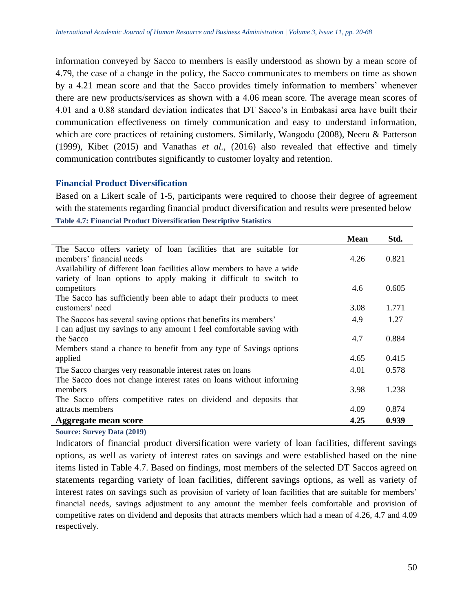information conveyed by Sacco to members is easily understood as shown by a mean score of 4.79, the case of a change in the policy, the Sacco communicates to members on time as shown by a 4.21 mean score and that the Sacco provides timely information to members' whenever there are new products/services as shown with a 4.06 mean score. The average mean scores of 4.01 and a 0.88 standard deviation indicates that DT Sacco's in Embakasi area have built their communication effectiveness on timely communication and easy to understand information, which are core practices of retaining customers. Similarly, Wangodu (2008), Neeru & Patterson (1999), Kibet (2015) and Vanathas *et al.,* (2016) also revealed that effective and timely communication contributes significantly to customer loyalty and retention.

#### **Financial Product Diversification**

Based on a Likert scale of 1-5, participants were required to choose their degree of agreement with the statements regarding financial product diversification and results were presented below **Table 4.7: Financial Product Diversification Descriptive Statistics**

|                                                                        | <b>Mean</b> | Std.  |
|------------------------------------------------------------------------|-------------|-------|
| The Sacco offers variety of loan facilities that are suitable for      |             |       |
| members' financial needs                                               | 4.26        | 0.821 |
| Availability of different loan facilities allow members to have a wide |             |       |
| variety of loan options to apply making it difficult to switch to      |             |       |
| competitors                                                            | 4.6         | 0.605 |
| The Sacco has sufficiently been able to adapt their products to meet   |             |       |
| customers' need                                                        | 3.08        | 1.771 |
| The Saccos has several saving options that benefits its members'       | 4.9         | 1.27  |
| I can adjust my savings to any amount I feel comfortable saving with   |             |       |
| the Sacco                                                              | 4.7         | 0.884 |
| Members stand a chance to benefit from any type of Savings options     |             |       |
| applied                                                                | 4.65        | 0.415 |
| The Sacco charges very reasonable interest rates on loans              | 4.01        | 0.578 |
| The Sacco does not change interest rates on loans without informing    |             |       |
| members                                                                | 3.98        | 1.238 |
| The Sacco offers competitive rates on dividend and deposits that       |             |       |
| attracts members                                                       | 4.09        | 0.874 |
| Aggregate mean score                                                   | 4.25        | 0.939 |

#### **Source: Survey Data (2019)**

Indicators of financial product diversification were variety of loan facilities, different savings options, as well as variety of interest rates on savings and were established based on the nine items listed in Table 4.7. Based on findings, most members of the selected DT Saccos agreed on statements regarding variety of loan facilities, different savings options, as well as variety of interest rates on savings such as provision of variety of loan facilities that are suitable for members' financial needs, savings adjustment to any amount the member feels comfortable and provision of competitive rates on dividend and deposits that attracts members which had a mean of 4.26, 4.7 and 4.09 respectively.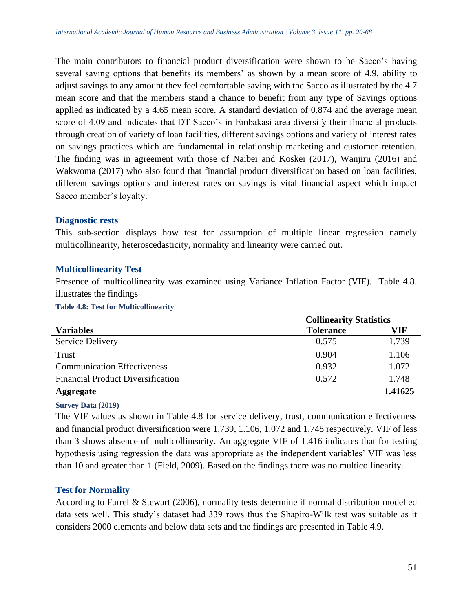The main contributors to financial product diversification were shown to be Sacco's having several saving options that benefits its members' as shown by a mean score of 4.9, ability to adjust savings to any amount they feel comfortable saving with the Sacco as illustrated by the 4.7 mean score and that the members stand a chance to benefit from any type of Savings options applied as indicated by a 4.65 mean score. A standard deviation of 0.874 and the average mean score of 4.09 and indicates that DT Sacco's in Embakasi area diversify their financial products through creation of variety of loan facilities, different savings options and variety of interest rates on savings practices which are fundamental in relationship marketing and customer retention. The finding was in agreement with those of Naibei and Koskei (2017), Wanjiru (2016) and Wakwoma (2017) who also found that financial product diversification based on loan facilities, different savings options and interest rates on savings is vital financial aspect which impact Sacco member's loyalty.

#### **Diagnostic rests**

This sub-section displays how test for assumption of multiple linear regression namely multicollinearity, heteroscedasticity, normality and linearity were carried out.

## **Multicollinearity Test**

Presence of multicollinearity was examined using Variance Inflation Factor (VIF). Table 4.8. illustrates the findings

**Table 4.8: Test for Multicollinearity**

|                                          | <b>Collinearity Statistics</b> |         |
|------------------------------------------|--------------------------------|---------|
| <b>Variables</b>                         | <b>Tolerance</b>               | VIF     |
| <b>Service Delivery</b>                  | 0.575                          | 1.739   |
| Trust                                    | 0.904                          | 1.106   |
| <b>Communication Effectiveness</b>       | 0.932                          | 1.072   |
| <b>Financial Product Diversification</b> | 0.572                          | 1.748   |
| <b>Aggregate</b>                         |                                | 1.41625 |

**Survey Data (2019)**

The VIF values as shown in Table 4.8 for service delivery, trust, communication effectiveness and financial product diversification were 1.739, 1.106, 1.072 and 1.748 respectively. VIF of less than 3 shows absence of multicollinearity. An aggregate VIF of 1.416 indicates that for testing hypothesis using regression the data was appropriate as the independent variables' VIF was less than 10 and greater than 1 (Field, 2009). Based on the findings there was no multicollinearity.

## **Test for Normality**

According to Farrel & Stewart (2006), normality tests determine if normal distribution modelled data sets well. This study's dataset had 339 rows thus the Shapiro-Wilk test was suitable as it considers 2000 elements and below data sets and the findings are presented in Table 4.9.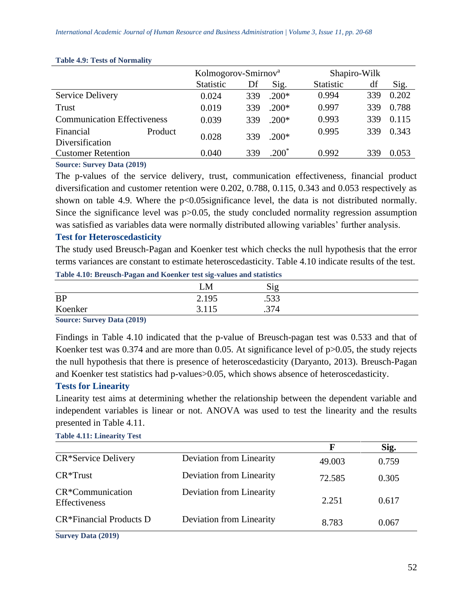|                                    |         | Kolmogorov-Smirnov <sup>a</sup> |     |         | Shapiro-Wilk     |     |       |
|------------------------------------|---------|---------------------------------|-----|---------|------------------|-----|-------|
|                                    |         | <b>Statistic</b>                | Df  | Sig.    | <b>Statistic</b> | df  | Sig.  |
| <b>Service Delivery</b>            |         | 0.024                           | 339 | $.200*$ | 0.994            | 339 | 0.202 |
| Trust                              |         | 0.019                           | 339 | $.200*$ | 0.997            | 339 | 0.788 |
| <b>Communication Effectiveness</b> |         | 0.039                           | 339 | $.200*$ | 0.993            | 339 | 0.115 |
| Financial<br>Diversification       | Product | 0.028                           | 339 | $.200*$ | 0.995            | 339 | 0.343 |
| <b>Customer Retention</b>          |         | 0.040                           | 339 | $.200*$ | 0.992            | 339 | 0.053 |
|                                    |         |                                 |     |         |                  |     |       |

#### **Table 4.9: Tests of Normality**

**Source: Survey Data (2019)**

The p-values of the service delivery, trust, communication effectiveness, financial product diversification and customer retention were 0.202, 0.788, 0.115, 0.343 and 0.053 respectively as shown on table 4.9. Where the  $p<0.05$ significance level, the data is not distributed normally. Since the significance level was  $p > 0.05$ , the study concluded normality regression assumption was satisfied as variables data were normally distributed allowing variables' further analysis.

## **Test for Heteroscedasticity**

The study used Breusch-Pagan and Koenker test which checks the null hypothesis that the error terms variances are constant to estimate heteroscedasticity. Table 4.10 indicate results of the test.

**Table 4.10: Breusch-Pagan and Koenker test sig-values and statistics** 

|                                                                         | LM                   | Sig         |  |
|-------------------------------------------------------------------------|----------------------|-------------|--|
| <b>BP</b>                                                               | 2.195                | 500<br>.JJJ |  |
| Koenker                                                                 | 2115<br><u>J.IIJ</u> | .374        |  |
| <b>Contract Contract Contract Contract</b><br>and the state of the con- |                      |             |  |

**Source: Survey Data (2019)**

Findings in Table 4.10 indicated that the p-value of Breusch-pagan test was 0.533 and that of Koenker test was 0.374 and are more than 0.05. At significance level of p>0.05, the study rejects the null hypothesis that there is presence of heteroscedasticity (Daryanto, 2013). Breusch-Pagan and Koenker test statistics had p-values > 0.05, which shows absence of heteroscedasticity.

## **Tests for Linearity**

Linearity test aims at determining whether the relationship between the dependent variable and independent variables is linear or not. ANOVA was used to test the linearity and the results presented in Table 4.11.

|                                     |                          |        | Sig.  |
|-------------------------------------|--------------------------|--------|-------|
| CR*Service Delivery                 | Deviation from Linearity | 49.003 | 0.759 |
| $CR*Trust$                          | Deviation from Linearity | 72.585 | 0.305 |
| $CR*Communication$<br>Effectiveness | Deviation from Linearity | 2.251  | 0.617 |
| CR*Financial Products D             | Deviation from Linearity | 8.783  | 0.067 |

**Table 4.11: Linearity Test**

**Survey Data (2019)**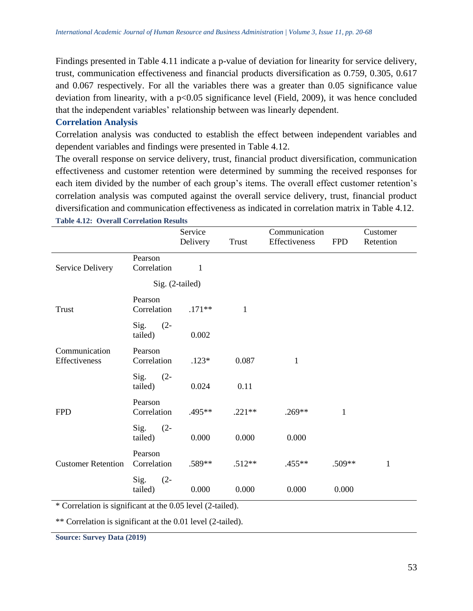Findings presented in Table 4.11 indicate a p-value of deviation for linearity for service delivery, trust, communication effectiveness and financial products diversification as 0.759, 0.305, 0.617 and 0.067 respectively. For all the variables there was a greater than 0.05 significance value deviation from linearity, with a p<0.05 significance level (Field, 2009), it was hence concluded that the independent variables' relationship between was linearly dependent.

#### **Correlation Analysis**

Correlation analysis was conducted to establish the effect between independent variables and dependent variables and findings were presented in Table 4.12.

The overall response on service delivery, trust, financial product diversification, communication effectiveness and customer retention were determined by summing the received responses for each item divided by the number of each group's items. The overall effect customer retention's correlation analysis was computed against the overall service delivery, trust, financial product diversification and communication effectiveness as indicated in correlation matrix in Table 4.12.

|                                |                           | Service         |              | Communication |              | Customer     |
|--------------------------------|---------------------------|-----------------|--------------|---------------|--------------|--------------|
|                                |                           | Delivery        | Trust        | Effectiveness | <b>FPD</b>   | Retention    |
|                                | Pearson                   |                 |              |               |              |              |
| Service Delivery               | Correlation               | 1               |              |               |              |              |
|                                |                           | Sig. (2-tailed) |              |               |              |              |
| <b>Trust</b>                   | Pearson<br>Correlation    | $.171**$        | $\mathbf{1}$ |               |              |              |
|                                | Sig.<br>$(2 -$<br>tailed) | 0.002           |              |               |              |              |
| Communication<br>Effectiveness | Pearson<br>Correlation    | $.123*$         | 0.087        | 1             |              |              |
|                                | Sig.<br>$(2 -$<br>tailed) | 0.024           | 0.11         |               |              |              |
| <b>FPD</b>                     | Pearson<br>Correlation    | .495**          | $.221**$     | $.269**$      | $\mathbf{1}$ |              |
|                                | Sig.<br>$(2 -$<br>tailed) | 0.000           | 0.000        | 0.000         |              |              |
| <b>Customer Retention</b>      | Pearson<br>Correlation    | .589**          | $.512**$     | .455**        | .509**       | $\mathbf{1}$ |
|                                | Sig.<br>$(2 -$<br>tailed) | 0.000           | 0.000        | 0.000         | 0.000        |              |

**Table 4.12: Overall Correlation Results** 

\* Correlation is significant at the 0.05 level (2-tailed).

\*\* Correlation is significant at the 0.01 level (2-tailed).

**Source: Survey Data (2019)**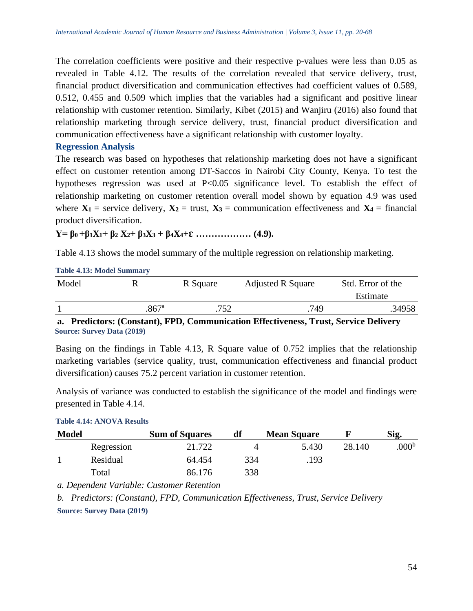The correlation coefficients were positive and their respective p-values were less than 0.05 as revealed in Table 4.12. The results of the correlation revealed that service delivery, trust, financial product diversification and communication effectives had coefficient values of 0.589, 0.512, 0.455 and 0.509 which implies that the variables had a significant and positive linear relationship with customer retention. Similarly, Kibet (2015) and Wanjiru (2016) also found that relationship marketing through service delivery, trust, financial product diversification and communication effectiveness have a significant relationship with customer loyalty.

#### **Regression Analysis**

**Table 4.13: Model Summary**

The research was based on hypotheses that relationship marketing does not have a significant effect on customer retention among DT-Saccos in Nairobi City County, Kenya. To test the hypotheses regression was used at P<0.05 significance level. To establish the effect of relationship marketing on customer retention overall model shown by equation 4.9 was used where  $X_1$  = service delivery,  $X_2$  = trust,  $X_3$  = communication effectiveness and  $X_4$  = financial product diversification.

**Y**=  $\beta_0 + \beta_1 X_1 + \beta_2 X_2 + \beta_3 X_3 + \beta_4 X_4 + \epsilon$  **………………** (4.9).

Table 4.13 shows the model summary of the multiple regression on relationship marketing.

| <b>Table 4.15.</b> Mouch building |          |                          |                   |  |  |  |
|-----------------------------------|----------|--------------------------|-------------------|--|--|--|
|                                   | R Square | <b>Adjusted R Square</b> | Std. Error of the |  |  |  |
|                                   |          |                          | Estimate          |  |  |  |
| $867$ <sup>a</sup>                | 752      | 749                      | .34958            |  |  |  |
|                                   |          |                          |                   |  |  |  |

**a. Predictors: (Constant), FPD, Communication Effectiveness, Trust, Service Delivery Source: Survey Data (2019)**

Basing on the findings in Table 4.13, R Square value of 0.752 implies that the relationship marketing variables (service quality, trust, communication effectiveness and financial product diversification) causes 75.2 percent variation in customer retention.

Analysis of variance was conducted to establish the significance of the model and findings were presented in Table 4.14.

| <b>Model</b> |            | <b>Sum of Squares</b> | df  | <b>Mean Square</b> |        | Sig.             |
|--------------|------------|-----------------------|-----|--------------------|--------|------------------|
|              | Regression | 21.722                |     | 5.430              | 28.140 | 000 <sup>b</sup> |
|              | Residual   | 64.454                | 334 | .193               |        |                  |
|              | Total      | 86.176                | 338 |                    |        |                  |

#### **Table 4.14: ANOVA Results**

*a. Dependent Variable: Customer Retention*

*b. Predictors: (Constant), FPD, Communication Effectiveness, Trust, Service Delivery* **Source: Survey Data (2019)**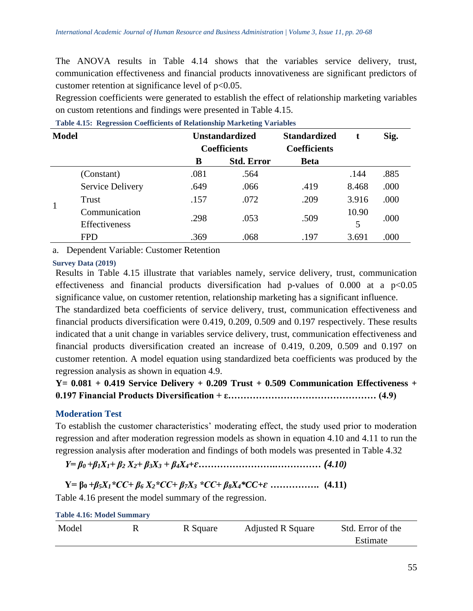The ANOVA results in Table 4.14 shows that the variables service delivery, trust, communication effectiveness and financial products innovativeness are significant predictors of customer retention at significance level of  $p<0.05$ .

Regression coefficients were generated to establish the effect of relationship marketing variables on custom retentions and findings were presented in Table 4.15.

| <b>Model</b> |                                |      | <b>Unstandardized</b><br><b>Coefficients</b> | <b>Standardized</b><br><b>Coefficients</b> | t          | Sig. |
|--------------|--------------------------------|------|----------------------------------------------|--------------------------------------------|------------|------|
|              |                                | B    | <b>Std. Error</b>                            | <b>Beta</b>                                |            |      |
|              | (Constant)                     | .081 | .564                                         |                                            | .144       | .885 |
|              | <b>Service Delivery</b>        | .649 | .066                                         | .419                                       | 8.468      | .000 |
|              | Trust                          | .157 | .072                                         | .209                                       | 3.916      | .000 |
| $\mathbf{1}$ | Communication<br>Effectiveness | .298 | .053                                         | .509                                       | 10.90<br>5 | .000 |
|              | <b>FPD</b>                     | .369 | .068                                         | .197                                       | 3.691      | .000 |

**Table 4.15: Regression Coefficients of Relationship Marketing Variables**

a. Dependent Variable: Customer Retention

#### **Survey Data (2019)**

Results in Table 4.15 illustrate that variables namely, service delivery, trust, communication effectiveness and financial products diversification had p-values of  $0.000$  at a  $p<0.05$ significance value, on customer retention, relationship marketing has a significant influence.

The standardized beta coefficients of service delivery, trust, communication effectiveness and financial products diversification were 0.419, 0.209, 0.509 and 0.197 respectively. These results indicated that a unit change in variables service delivery, trust, communication effectiveness and financial products diversification created an increase of 0.419, 0.209, 0.509 and 0.197 on customer retention. A model equation using standardized beta coefficients was produced by the regression analysis as shown in equation 4.9.

**Y= 0.081 + 0.419 Service Delivery + 0.209 Trust + 0.509 Communication Effectiveness + 0.197 Financial Products Diversification + ε………………………………………… (4.9)**

#### **Moderation Test**

To establish the customer characteristics' moderating effect, the study used prior to moderation regression and after moderation regression models as shown in equation 4.10 and 4.11 to run the regression analysis after moderation and findings of both models was presented in Table 4.32

*Y= β0 +β1X1+ β<sup>2</sup> X2+ β3X<sup>3</sup> + β4X4+ɛ***…………………….……………** *(4.10)*

**Y= β0** *+β5X1\*CC+ β<sup>6</sup> X2\*CC+ β7X<sup>3</sup> \*CC+ β8X4\*CC+ɛ* **…………….****(4.11)**

Table 4.16 present the model summary of the regression.

| <b>Table 4.16: Model Summary</b> |  |          |                          |                   |  |  |  |
|----------------------------------|--|----------|--------------------------|-------------------|--|--|--|
| Model                            |  | R Square | <b>Adjusted R Square</b> | Std. Error of the |  |  |  |
|                                  |  |          |                          | Estimate          |  |  |  |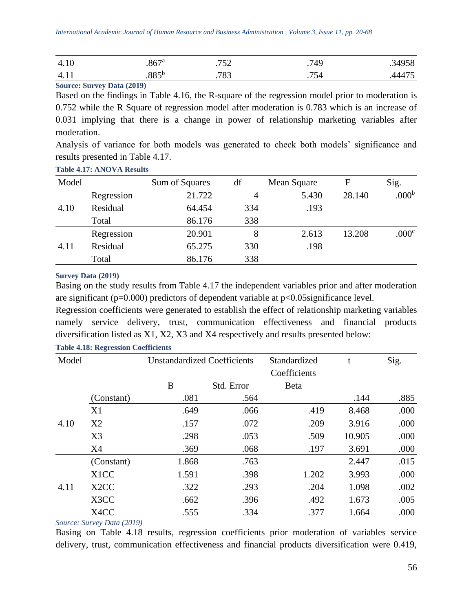| 4.10             | $.867$ <sup>a</sup> | ワスつ<br>ັບ ∠ | .749                  | .34958 |
|------------------|---------------------|-------------|-----------------------|--------|
| 4.1 <sub>1</sub> | oo⊆b<br>.00J        | 783         | 75 E<br><sup>34</sup> | 4.7.7  |

**Source: Survey Data (2019)**

Based on the findings in Table 4.16, the R-square of the regression model prior to moderation is 0.752 while the R Square of regression model after moderation is 0.783 which is an increase of 0.031 implying that there is a change in power of relationship marketing variables after moderation.

Analysis of variance for both models was generated to check both models' significance and results presented in Table 4.17.

|  | <b>Table 4.17: ANOVA Results</b> |  |
|--|----------------------------------|--|
|  |                                  |  |

| Model |            | Sum of Squares | df  | Mean Square | F      | Sig.              |
|-------|------------|----------------|-----|-------------|--------|-------------------|
|       | Regression | 21.722         | 4   | 5.430       | 28.140 | .000 <sup>b</sup> |
| 4.10  | Residual   | 64.454         | 334 | .193        |        |                   |
|       | Total      | 86.176         | 338 |             |        |                   |
|       | Regression | 20.901         | 8   | 2.613       | 13.208 | .000 <sup>c</sup> |
| 4.11  | Residual   | 65.275         | 330 | .198        |        |                   |
|       | Total      | 86.176         | 338 |             |        |                   |

#### **Survey Data (2019)**

Basing on the study results from Table 4.17 the independent variables prior and after moderation are significant ( $p=0.000$ ) predictors of dependent variable at  $p<0.05$ significance level.

Regression coefficients were generated to establish the effect of relationship marketing variables namely service delivery, trust, communication effectiveness and financial products diversification listed as X1, X2, X3 and X4 respectively and results presented below:

| Model |                   | <b>Unstandardized Coefficients</b> |            | Standardized | t      | Sig. |
|-------|-------------------|------------------------------------|------------|--------------|--------|------|
|       |                   |                                    |            | Coefficients |        |      |
|       |                   | B                                  | Std. Error | <b>B</b> eta |        |      |
|       | (Constant)        | .081                               | .564       |              | .144   | .885 |
|       | X1                | .649                               | .066       | .419         | 8.468  | .000 |
| 4.10  | X2                | .157                               | .072       | .209         | 3.916  | .000 |
|       | X3                | .298                               | .053       | .509         | 10.905 | .000 |
|       | X4                | .369                               | .068       | .197         | 3.691  | .000 |
|       | (Constant)        | 1.868                              | .763       |              | 2.447  | .015 |
|       | X <sub>1</sub> CC | 1.591                              | .398       | 1.202        | 3.993  | .000 |
| 4.11  | X <sub>2</sub> CC | .322                               | .293       | .204         | 1.098  | .002 |
|       | X3CC              | .662                               | .396       | .492         | 1.673  | .005 |
|       | X4CC              | .555                               | .334       | .377         | 1.664  | .000 |

## **Table 4.18: Regression Coefficients**

*Source: Survey Data (2019)*

Basing on Table 4.18 results, regression coefficients prior moderation of variables service delivery, trust, communication effectiveness and financial products diversification were 0.419,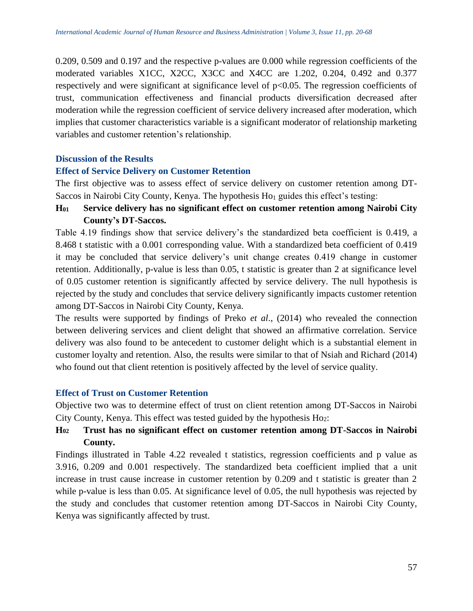0.209, 0.509 and 0.197 and the respective p-values are 0.000 while regression coefficients of the moderated variables X1CC, X2CC, X3CC and X4CC are 1.202, 0.204, 0.492 and 0.377 respectively and were significant at significance level of p<0.05. The regression coefficients of trust, communication effectiveness and financial products diversification decreased after moderation while the regression coefficient of service delivery increased after moderation, which implies that customer characteristics variable is a significant moderator of relationship marketing variables and customer retention's relationship.

## **Discussion of the Results**

## **Effect of Service Delivery on Customer Retention**

The first objective was to assess effect of service delivery on customer retention among DT-Saccos in Nairobi City County, Kenya. The hypothesis  $Ho<sub>1</sub>$  guides this effect's testing:

**H<sup>01</sup> Service delivery has no significant effect on customer retention among Nairobi City County's DT-Saccos.**

Table 4.19 findings show that service delivery's the standardized beta coefficient is 0.419, a 8.468 t statistic with a 0.001 corresponding value. With a standardized beta coefficient of 0.419 it may be concluded that service delivery's unit change creates 0.419 change in customer retention. Additionally, p-value is less than 0.05, t statistic is greater than 2 at significance level of 0.05 customer retention is significantly affected by service delivery. The null hypothesis is rejected by the study and concludes that service delivery significantly impacts customer retention among DT-Saccos in Nairobi City County, Kenya.

The results were supported by findings of Preko *et al*., (2014) who revealed the connection between delivering services and client delight that showed an affirmative correlation. Service delivery was also found to be antecedent to customer delight which is a substantial element in customer loyalty and retention. Also, the results were similar to that of Nsiah and Richard (2014) who found out that client retention is positively affected by the level of service quality.

## **Effect of Trust on Customer Retention**

Objective two was to determine effect of trust on client retention among DT-Saccos in Nairobi City County, Kenya. This effect was tested guided by the hypothesis Ho2:

# **H<sup>02</sup> Trust has no significant effect on customer retention among DT-Saccos in Nairobi County.**

Findings illustrated in Table 4.22 revealed t statistics, regression coefficients and p value as 3.916, 0.209 and 0.001 respectively. The standardized beta coefficient implied that a unit increase in trust cause increase in customer retention by 0.209 and t statistic is greater than 2 while p-value is less than 0.05. At significance level of 0.05, the null hypothesis was rejected by the study and concludes that customer retention among DT-Saccos in Nairobi City County, Kenya was significantly affected by trust.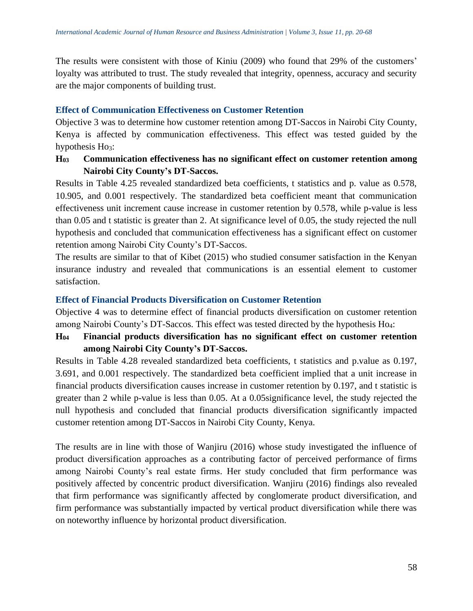The results were consistent with those of Kiniu (2009) who found that 29% of the customers' loyalty was attributed to trust. The study revealed that integrity, openness, accuracy and security are the major components of building trust.

# **Effect of Communication Effectiveness on Customer Retention**

Objective 3 was to determine how customer retention among DT-Saccos in Nairobi City County, Kenya is affected by communication effectiveness. This effect was tested guided by the hypothesis  $Ho_3$ :

# **H<sup>03</sup> Communication effectiveness has no significant effect on customer retention among Nairobi City County's DT-Saccos.**

Results in Table 4.25 revealed standardized beta coefficients, t statistics and p. value as 0.578, 10.905, and 0.001 respectively. The standardized beta coefficient meant that communication effectiveness unit increment cause increase in customer retention by 0.578, while p-value is less than 0.05 and t statistic is greater than 2. At significance level of 0.05, the study rejected the null hypothesis and concluded that communication effectiveness has a significant effect on customer retention among Nairobi City County's DT-Saccos.

The results are similar to that of Kibet (2015) who studied consumer satisfaction in the Kenyan insurance industry and revealed that communications is an essential element to customer satisfaction.

## **Effect of Financial Products Diversification on Customer Retention**

Objective 4 was to determine effect of financial products diversification on customer retention among Nairobi County's DT-Saccos. This effect was tested directed by the hypothesis Ho4:

# **H<sup>04</sup> Financial products diversification has no significant effect on customer retention among Nairobi City County's DT-Saccos.**

Results in Table 4.28 revealed standardized beta coefficients, t statistics and p.value as 0.197, 3.691, and 0.001 respectively. The standardized beta coefficient implied that a unit increase in financial products diversification causes increase in customer retention by 0.197, and t statistic is greater than 2 while p-value is less than 0.05. At a 0.05significance level, the study rejected the null hypothesis and concluded that financial products diversification significantly impacted customer retention among DT-Saccos in Nairobi City County, Kenya.

The results are in line with those of Wanjiru (2016) whose study investigated the influence of product diversification approaches as a contributing factor of perceived performance of firms among Nairobi County's real estate firms. Her study concluded that firm performance was positively affected by concentric product diversification. Wanjiru (2016) findings also revealed that firm performance was significantly affected by conglomerate product diversification, and firm performance was substantially impacted by vertical product diversification while there was on noteworthy influence by horizontal product diversification.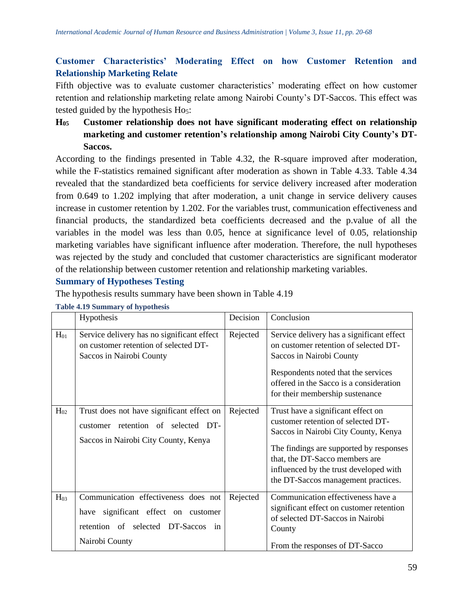# **Customer Characteristics' Moderating Effect on how Customer Retention and Relationship Marketing Relate**

Fifth objective was to evaluate customer characteristics' moderating effect on how customer retention and relationship marketing relate among Nairobi County's DT-Saccos. This effect was tested guided by the hypothesis Ho5:

**H<sup>05</sup> Customer relationship does not have significant moderating effect on relationship marketing and customer retention's relationship among Nairobi City County's DT-Saccos.**

According to the findings presented in Table 4.32, the R-square improved after moderation, while the F-statistics remained significant after moderation as shown in Table 4.33. Table 4.34 revealed that the standardized beta coefficients for service delivery increased after moderation from 0.649 to 1.202 implying that after moderation, a unit change in service delivery causes increase in customer retention by 1.202. For the variables trust, communication effectiveness and financial products, the standardized beta coefficients decreased and the p.value of all the variables in the model was less than 0.05, hence at significance level of 0.05, relationship marketing variables have significant influence after moderation. Therefore, the null hypotheses was rejected by the study and concluded that customer characteristics are significant moderator of the relationship between customer retention and relationship marketing variables.

# **Summary of Hypotheses Testing**

The hypothesis results summary have been shown in Table 4.19

|          | Hypothesis                                                                                                                          | Decision | Conclusion                                                                                                                                                                                                                                                                     |
|----------|-------------------------------------------------------------------------------------------------------------------------------------|----------|--------------------------------------------------------------------------------------------------------------------------------------------------------------------------------------------------------------------------------------------------------------------------------|
| $H_{01}$ | Service delivery has no significant effect<br>on customer retention of selected DT-<br>Saccos in Nairobi County                     | Rejected | Service delivery has a significant effect<br>on customer retention of selected DT-<br>Saccos in Nairobi County<br>Respondents noted that the services<br>offered in the Sacco is a consideration<br>for their membership sustenance                                            |
| $H_{02}$ | Trust does not have significant effect on<br>customer retention of selected DT-<br>Saccos in Nairobi City County, Kenya             | Rejected | Trust have a significant effect on<br>customer retention of selected DT-<br>Saccos in Nairobi City County, Kenya<br>The findings are supported by responses<br>that, the DT-Sacco members are<br>influenced by the trust developed with<br>the DT-Saccos management practices. |
| $H_{03}$ | Communication effectiveness does not<br>have significant effect on customer<br>retention of selected DT-Saccos in<br>Nairobi County | Rejected | Communication effectiveness have a<br>significant effect on customer retention<br>of selected DT-Saccos in Nairobi<br>County<br>From the responses of DT-Sacco                                                                                                                 |

#### **Table 4.19 Summary of hypothesis**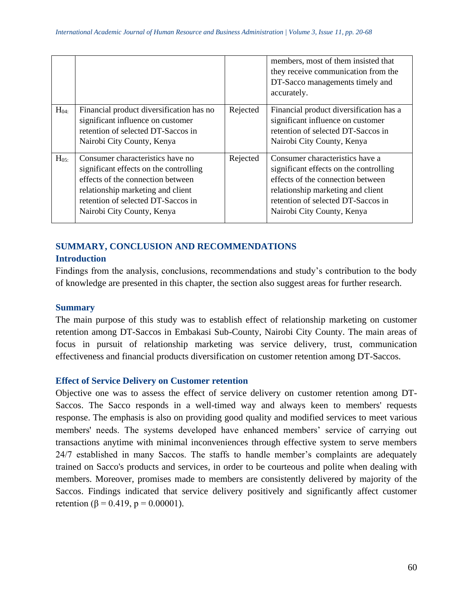|           |                                                                                                                                                                                                                          |          | members, most of them insisted that<br>they receive communication from the<br>DT-Sacco managements timely and<br>accurately.                                                                                            |
|-----------|--------------------------------------------------------------------------------------------------------------------------------------------------------------------------------------------------------------------------|----------|-------------------------------------------------------------------------------------------------------------------------------------------------------------------------------------------------------------------------|
| $H_{04}$  | Financial product diversification has no<br>significant influence on customer<br>retention of selected DT-Saccos in<br>Nairobi City County, Kenya                                                                        | Rejected | Financial product diversification has a<br>significant influence on customer<br>retention of selected DT-Saccos in<br>Nairobi City County, Kenya                                                                        |
| $H_{0.5}$ | Consumer characteristics have no<br>significant effects on the controlling<br>effects of the connection between<br>relationship marketing and client<br>retention of selected DT-Saccos in<br>Nairobi City County, Kenya | Rejected | Consumer characteristics have a<br>significant effects on the controlling<br>effects of the connection between<br>relationship marketing and client<br>retention of selected DT-Saccos in<br>Nairobi City County, Kenya |

# **SUMMARY, CONCLUSION AND RECOMMENDATIONS**

# **Introduction**

Findings from the analysis, conclusions, recommendations and study's contribution to the body of knowledge are presented in this chapter, the section also suggest areas for further research.

# **Summary**

The main purpose of this study was to establish effect of relationship marketing on customer retention among DT-Saccos in Embakasi Sub-County, Nairobi City County. The main areas of focus in pursuit of relationship marketing was service delivery, trust, communication effectiveness and financial products diversification on customer retention among DT-Saccos.

## **Effect of Service Delivery on Customer retention**

Objective one was to assess the effect of service delivery on customer retention among DT-Saccos. The Sacco responds in a well-timed way and always keen to members' requests response. The emphasis is also on providing good quality and modified services to meet various members' needs. The systems developed have enhanced members' service of carrying out transactions anytime with minimal inconveniences through effective system to serve members 24/7 established in many Saccos. The staffs to handle member's complaints are adequately trained on Sacco's products and services, in order to be courteous and polite when dealing with members. Moreover, promises made to members are consistently delivered by majority of the Saccos. Findings indicated that service delivery positively and significantly affect customer retention ( $\beta$  = 0.419, p = 0.00001).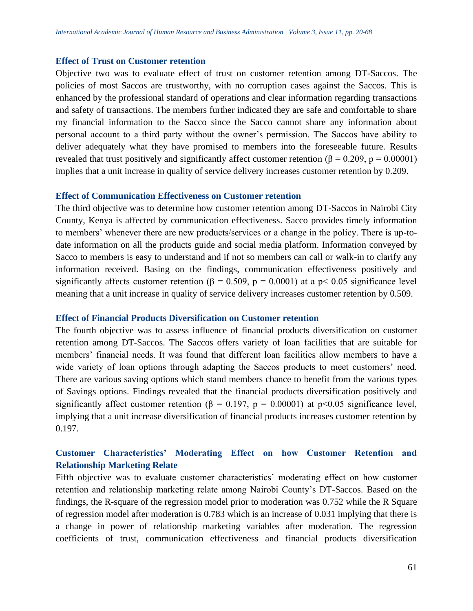#### **Effect of Trust on Customer retention**

Objective two was to evaluate effect of trust on customer retention among DT-Saccos. The policies of most Saccos are trustworthy, with no corruption cases against the Saccos. This is enhanced by the professional standard of operations and clear information regarding transactions and safety of transactions. The members further indicated they are safe and comfortable to share my financial information to the Sacco since the Sacco cannot share any information about personal account to a third party without the owner's permission. The Saccos have ability to deliver adequately what they have promised to members into the foreseeable future. Results revealed that trust positively and significantly affect customer retention (β = 0.209, p = 0.00001) implies that a unit increase in quality of service delivery increases customer retention by 0.209.

#### **Effect of Communication Effectiveness on Customer retention**

The third objective was to determine how customer retention among DT-Saccos in Nairobi City County, Kenya is affected by communication effectiveness. Sacco provides timely information to members' whenever there are new products/services or a change in the policy. There is up-todate information on all the products guide and social media platform. Information conveyed by Sacco to members is easy to understand and if not so members can call or walk-in to clarify any information received. Basing on the findings, communication effectiveness positively and significantly affects customer retention ( $\beta = 0.509$ ,  $p = 0.0001$ ) at a p< 0.05 significance level meaning that a unit increase in quality of service delivery increases customer retention by 0.509.

#### **Effect of Financial Products Diversification on Customer retention**

The fourth objective was to assess influence of financial products diversification on customer retention among DT-Saccos. The Saccos offers variety of loan facilities that are suitable for members' financial needs. It was found that different loan facilities allow members to have a wide variety of loan options through adapting the Saccos products to meet customers' need. There are various saving options which stand members chance to benefit from the various types of Savings options. Findings revealed that the financial products diversification positively and significantly affect customer retention ( $\beta = 0.197$ ,  $p = 0.00001$ ) at p<0.05 significance level, implying that a unit increase diversification of financial products increases customer retention by 0.197.

# **Customer Characteristics' Moderating Effect on how Customer Retention and Relationship Marketing Relate**

Fifth objective was to evaluate customer characteristics' moderating effect on how customer retention and relationship marketing relate among Nairobi County's DT-Saccos. Based on the findings, the R-square of the regression model prior to moderation was 0.752 while the R Square of regression model after moderation is 0.783 which is an increase of 0.031 implying that there is a change in power of relationship marketing variables after moderation. The regression coefficients of trust, communication effectiveness and financial products diversification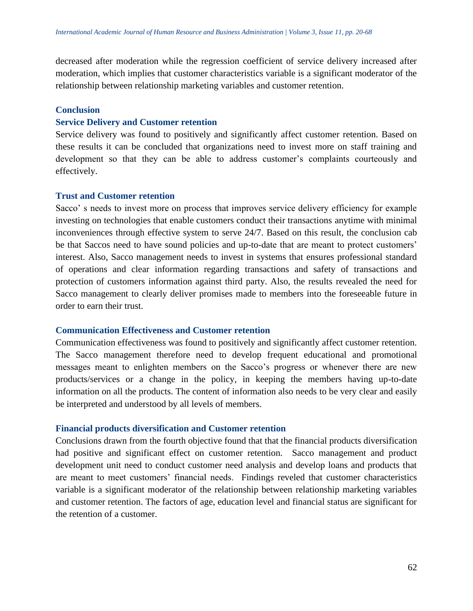decreased after moderation while the regression coefficient of service delivery increased after moderation, which implies that customer characteristics variable is a significant moderator of the relationship between relationship marketing variables and customer retention.

#### **Conclusion**

#### **Service Delivery and Customer retention**

Service delivery was found to positively and significantly affect customer retention. Based on these results it can be concluded that organizations need to invest more on staff training and development so that they can be able to address customer's complaints courteously and effectively.

#### **Trust and Customer retention**

Sacco' s needs to invest more on process that improves service delivery efficiency for example investing on technologies that enable customers conduct their transactions anytime with minimal inconveniences through effective system to serve 24/7. Based on this result, the conclusion cab be that Saccos need to have sound policies and up-to-date that are meant to protect customers' interest. Also, Sacco management needs to invest in systems that ensures professional standard of operations and clear information regarding transactions and safety of transactions and protection of customers information against third party. Also, the results revealed the need for Sacco management to clearly deliver promises made to members into the foreseeable future in order to earn their trust.

#### **Communication Effectiveness and Customer retention**

Communication effectiveness was found to positively and significantly affect customer retention. The Sacco management therefore need to develop frequent educational and promotional messages meant to enlighten members on the Sacco's progress or whenever there are new products/services or a change in the policy, in keeping the members having up-to-date information on all the products. The content of information also needs to be very clear and easily be interpreted and understood by all levels of members.

#### **Financial products diversification and Customer retention**

Conclusions drawn from the fourth objective found that that the financial products diversification had positive and significant effect on customer retention. Sacco management and product development unit need to conduct customer need analysis and develop loans and products that are meant to meet customers' financial needs. Findings reveled that customer characteristics variable is a significant moderator of the relationship between relationship marketing variables and customer retention. The factors of age, education level and financial status are significant for the retention of a customer.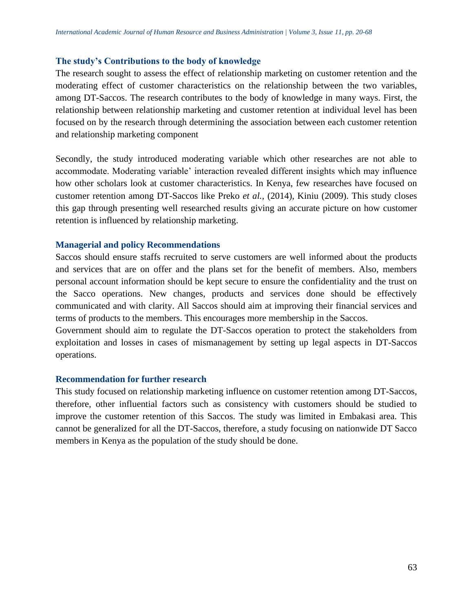#### **The study's Contributions to the body of knowledge**

The research sought to assess the effect of relationship marketing on customer retention and the moderating effect of customer characteristics on the relationship between the two variables, among DT-Saccos. The research contributes to the body of knowledge in many ways. First, the relationship between relationship marketing and customer retention at individual level has been focused on by the research through determining the association between each customer retention and relationship marketing component

Secondly, the study introduced moderating variable which other researches are not able to accommodate. Moderating variable' interaction revealed different insights which may influence how other scholars look at customer characteristics. In Kenya, few researches have focused on customer retention among DT-Saccos like Preko *et al.,* (2014), Kiniu (2009). This study closes this gap through presenting well researched results giving an accurate picture on how customer retention is influenced by relationship marketing.

#### **Managerial and policy Recommendations**

Saccos should ensure staffs recruited to serve customers are well informed about the products and services that are on offer and the plans set for the benefit of members. Also, members personal account information should be kept secure to ensure the confidentiality and the trust on the Sacco operations. New changes, products and services done should be effectively communicated and with clarity. All Saccos should aim at improving their financial services and terms of products to the members. This encourages more membership in the Saccos.

Government should aim to regulate the DT-Saccos operation to protect the stakeholders from exploitation and losses in cases of mismanagement by setting up legal aspects in DT-Saccos operations.

#### **Recommendation for further research**

This study focused on relationship marketing influence on customer retention among DT-Saccos, therefore, other influential factors such as consistency with customers should be studied to improve the customer retention of this Saccos. The study was limited in Embakasi area. This cannot be generalized for all the DT-Saccos, therefore, a study focusing on nationwide DT Sacco members in Kenya as the population of the study should be done.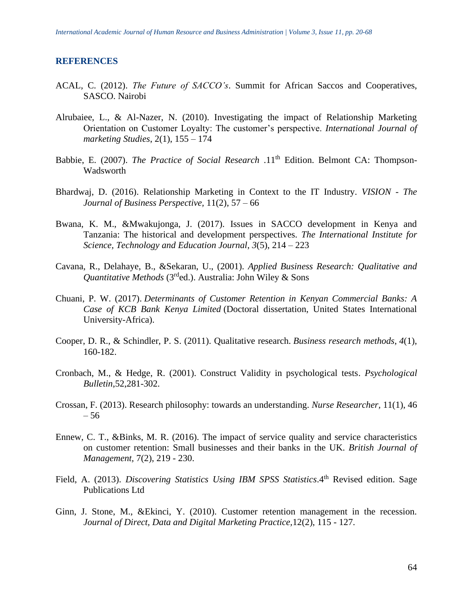#### **REFERENCES**

- ACAL, C. (2012). *The Future of SACCO's*. Summit for African Saccos and Cooperatives, SASCO. Nairobi
- Alrubaiee, L., & Al-Nazer, N. (2010). Investigating the impact of Relationship Marketing Orientation on Customer Loyalty: The customer's perspective. *International Journal of marketing Studies*, 2(1), 155 – 174
- Babbie, E. (2007). *The Practice of Social Research* .11<sup>th</sup> Edition. Belmont CA: Thompson-Wadsworth
- Bhardwaj, D. (2016). Relationship Marketing in Context to the IT Industry. *VISION - The Journal of Business Perspective,* 11(2), 57 – 66
- Bwana, K. M., &Mwakujonga, J. (2017). Issues in SACCO development in Kenya and Tanzania: The historical and development perspectives. *The International Institute for Science, Technology and Education Journal*, *3*(5), 214 – 223
- Cavana, R., Delahaye, B., &Sekaran, U., (2001). *Applied Business Research: Qualitative and Quantitative Methods* (3rded.). Australia: John Wiley & Sons
- Chuani, P. W. (2017). *Determinants of Customer Retention in Kenyan Commercial Banks: A Case of KCB Bank Kenya Limited* (Doctoral dissertation, United States International University-Africa).
- Cooper, D. R., & Schindler, P. S. (2011). Qualitative research. *Business research methods*, *4*(1), 160-182.
- Cronbach, M., & Hedge, R. (2001). Construct Validity in psychological tests. *Psychological Bulletin*,52,281-302.
- Crossan, F. (2013). Research philosophy: towards an understanding. *Nurse Researcher,* 11(1), 46 – 56
- Ennew, C. T., &Binks, M. R. (2016). The impact of service quality and service characteristics on customer retention: Small businesses and their banks in the UK. *British Journal of Management,* 7(2), 219 - 230.
- Field, A. (2013). *Discovering Statistics Using IBM SPSS Statistics*.4<sup>th</sup> Revised edition. Sage Publications Ltd
- Ginn, J. Stone, M., &Ekinci, Y. (2010). Customer retention management in the recession. *Journal of Direct, Data and Digital Marketing Practice,*12(2), 115 - 127.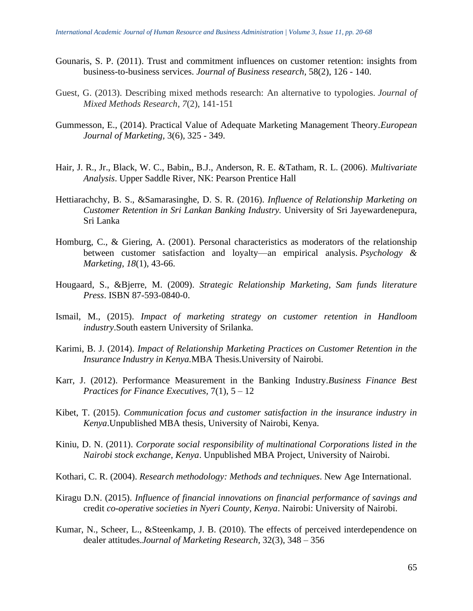- Gounaris, S. P. (2011). Trust and commitment influences on customer retention: insights from business-to-business services. *Journal of Business research,* 58(2), 126 - 140.
- Guest, G. (2013). Describing mixed methods research: An alternative to typologies. *Journal of Mixed Methods Research*, *7*(2), 141-151
- Gummesson, E., (2014). Practical Value of Adequate Marketing Management Theory.*European Journal of Marketing,* 3(6), 325 - 349.
- Hair, J. R., Jr., Black, W. C., Babin,, B.J., Anderson, R. E. &Tatham, R. L. (2006). *Multivariate Analysis*. Upper Saddle River, NK: Pearson Prentice Hall
- Hettiarachchy, B. S., &Samarasinghe, D. S. R. (2016). *Influence of Relationship Marketing on Customer Retention in Sri Lankan Banking Industry.* University of Sri Jayewardenepura, Sri Lanka
- Homburg, C., & Giering, A. (2001). Personal characteristics as moderators of the relationship between customer satisfaction and loyalty—an empirical analysis. *Psychology & Marketing*, *18*(1), 43-66.
- Hougaard, S., &Bjerre, M. (2009). *Strategic Relationship Marketing, Sam funds literature Press*. ISBN 87-593-0840-0.
- Ismail, M., (2015). *Impact of marketing strategy on customer retention in Handloom industry*.South eastern University of Srilanka.
- Karimi, B. J. (2014). *Impact of Relationship Marketing Practices on Customer Retention in the Insurance Industry in Kenya.*MBA Thesis.University of Nairobi*.*
- Karr, J. (2012). Performance Measurement in the Banking Industry.*Business Finance Best Practices for Finance Executives,* 7(1), 5 – 12
- Kibet, T. (2015). *Communication focus and customer satisfaction in the insurance industry in Kenya*.Unpublished MBA thesis, University of Nairobi, Kenya.
- Kiniu, D. N. (2011). *Corporate social responsibility of multinational Corporations listed in the Nairobi stock exchange, Kenya*. Unpublished MBA Project, University of Nairobi.
- Kothari, C. R. (2004). *Research methodology: Methods and techniques*. New Age International.
- Kiragu D.N. (2015). *Influence of financial innovations on financial performance of savings and* credit *co-operative societies in Nyeri County, Kenya*. Nairobi: University of Nairobi.
- Kumar, N., Scheer, L., &Steenkamp, J. B. (2010). The effects of perceived interdependence on dealer attitudes.*Journal of Marketing Research,* 32(3), 348 – 356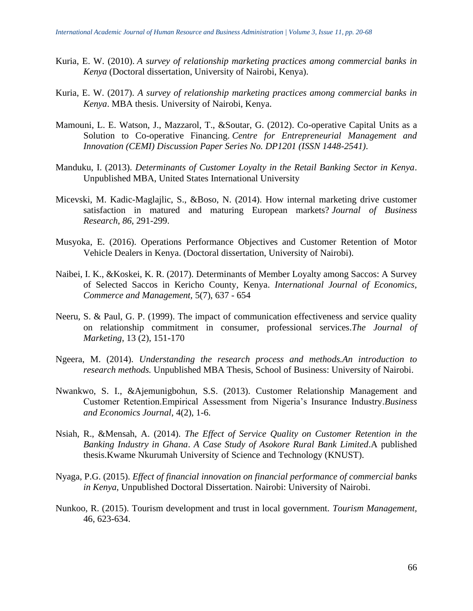- Kuria, E. W. (2010). *A survey of relationship marketing practices among commercial banks in Kenya* (Doctoral dissertation, University of Nairobi, Kenya).
- Kuria, E. W. (2017). *A survey of relationship marketing practices among commercial banks in Kenya*. MBA thesis. University of Nairobi, Kenya.
- Mamouni, L. E. Watson, J., Mazzarol, T., &Soutar, G. (2012). Co-operative Capital Units as a Solution to Co-operative Financing. *Centre for Entrepreneurial Management and Innovation (CEMI) Discussion Paper Series No. DP1201 (ISSN 1448-2541)*.
- Manduku, I. (2013). *Determinants of Customer Loyalty in the Retail Banking Sector in Kenya*. Unpublished MBA, United States International University
- Micevski, M. Kadic-Maglajlic, S., &Boso, N. (2014). How internal marketing drive customer satisfaction in matured and maturing European markets? *Journal of Business Research*, *86*, 291-299.
- Musyoka, E. (2016). Operations Performance Objectives and Customer Retention of Motor Vehicle Dealers in Kenya. (Doctoral dissertation, University of Nairobi).
- Naibei, I. K., &Koskei, K. R. (2017). Determinants of Member Loyalty among Saccos: A Survey of Selected Saccos in Kericho County, Kenya. *International Journal of Economics, Commerce and Management,* 5(7), 637 - 654
- Neeru, S. & Paul, G. P. (1999). The impact of communication effectiveness and service quality on relationship commitment in consumer, professional services.*The Journal of Marketing*, 13 (2), 151-170
- Ngeera, M. (2014). *Understanding the research process and methods.An introduction to research methods.* Unpublished MBA Thesis, School of Business: University of Nairobi.
- Nwankwo, S. I., &Ajemunigbohun, S.S. (2013). Customer Relationship Management and Customer Retention.Empirical Assessment from Nigeria's Insurance Industry.*Business and Economics Journal*, 4(2), 1-6.
- Nsiah, R., &Mensah, A. (2014). *The Effect of Service Quality on Customer Retention in the Banking Industry in Ghana*. *A Case Study of Asokore Rural Bank Limited*.A published thesis.Kwame Nkurumah University of Science and Technology (KNUST).
- Nyaga, P.G. (2015). *Effect of financial innovation on financial performance of commercial banks in Kenya*, Unpublished Doctoral Dissertation. Nairobi: University of Nairobi.
- Nunkoo, R. (2015). Tourism development and trust in local government. *Tourism Management,* 46, 623-634.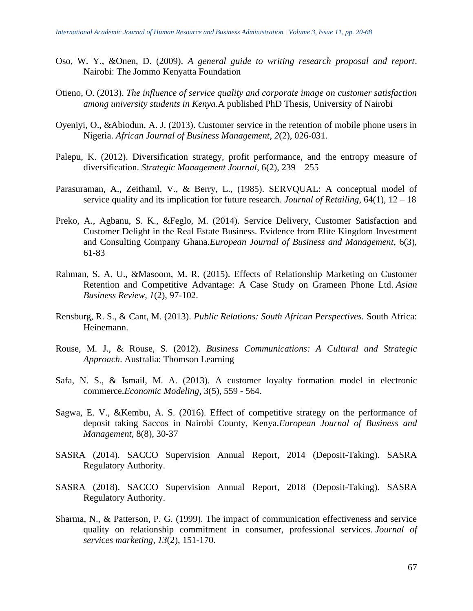- Oso, W. Y., &Onen, D. (2009). *A general guide to writing research proposal and report*. Nairobi: The Jommo Kenyatta Foundation
- Otieno, O. (2013). *The influence of service quality and corporate image on customer satisfaction among university students in Kenya*.A published PhD Thesis, University of Nairobi
- Oyeniyi, O., &Abiodun, A. J. (2013). Customer service in the retention of mobile phone users in Nigeria. *African Journal of Business Management*, *2*(2), 026-031.
- Palepu, K. (2012). Diversification strategy, profit performance, and the entropy measure of diversification. *Strategic Management Journal,* 6(2), 239 – 255
- Parasuraman, A., Zeithaml, V., & Berry, L., (1985). SERVQUAL: A conceptual model of service quality and its implication for future research. *Journal of Retailing*, 64(1), 12 – 18
- Preko, A., Agbanu, S. K., &Feglo, M. (2014). Service Delivery, Customer Satisfaction and Customer Delight in the Real Estate Business. Evidence from Elite Kingdom Investment and Consulting Company Ghana.*European Journal of Business and Management*, 6(3), 61-83
- Rahman, S. A. U., &Masoom, M. R. (2015). Effects of Relationship Marketing on Customer Retention and Competitive Advantage: A Case Study on Grameen Phone Ltd. *Asian Business Review*, *1*(2), 97-102.
- Rensburg, R. S., & Cant, M. (2013). *Public Relations: South African Perspectives.* South Africa: Heinemann.
- Rouse, M. J., & Rouse, S. (2012). *Business Communications: A Cultural and Strategic Approach*. Australia: Thomson Learning
- Safa, N. S., & Ismail, M. A. (2013). A customer loyalty formation model in electronic commerce.*Economic Modeling,* 3(5), 559 - 564.
- Sagwa, E. V., &Kembu, A. S. (2016). Effect of competitive strategy on the performance of deposit taking Saccos in Nairobi County, Kenya.*European Journal of Business and Management*, 8(8), 30-37
- SASRA (2014). SACCO Supervision Annual Report, 2014 (Deposit-Taking). SASRA Regulatory Authority.
- SASRA (2018). SACCO Supervision Annual Report, 2018 (Deposit-Taking). SASRA Regulatory Authority.
- Sharma, N., & Patterson, P. G. (1999). The impact of communication effectiveness and service quality on relationship commitment in consumer, professional services. *Journal of services marketing*, *13*(2), 151-170.